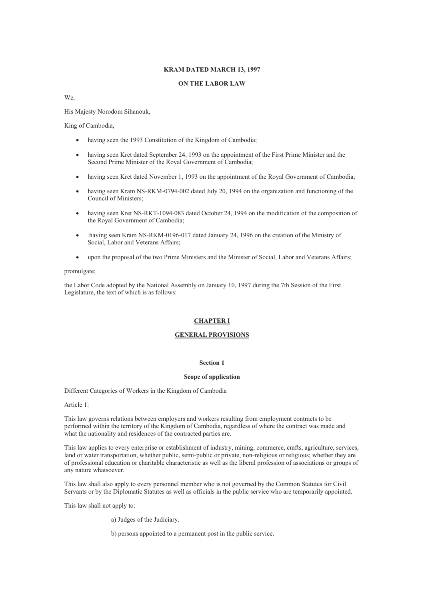## **KRAM DATED MARCH 13, 1997**

# **ON THE LABOR LAW**

We,

His Majesty Norodom Sihanouk,

King of Cambodia,

- having seen the 1993 Constitution of the Kingdom of Cambodia;
- ! having seen Kret dated September 24, 1993 on the appointment of the First Prime Minister and the Second Prime Minister of the Royal Government of Cambodia;
- ! having seen Kret dated November 1, 1993 on the appointment of the Royal Government of Cambodia;
- ! having seen Kram NS-RKM-0794-002 dated July 20, 1994 on the organization and functioning of the Council of Ministers;
- ! having seen Kret NS-RKT-1094-083 dated October 24, 1994 on the modification of the composition of the Royal Government of Cambodia;
- having seen Kram NS-RKM-0196-017 dated January 24, 1996 on the creation of the Ministry of Social, Labor and Veterans Affairs;
- ! upon the proposal of the two Prime Ministers and the Minister of Social, Labor and Veterans Affairs;

## promulgate;

the Labor Code adopted by the National Assembly on January 10, 1997 during the 7th Session of the First Legislature, the text of which is as follows:

# **CHAPTER I**

# **GENERAL PROVISIONS**

# **Section 1**

# **Scope of application**

Different Categories of Workers in the Kingdom of Cambodia

Article 1:

This law governs relations between employers and workers resulting from employment contracts to be performed within the territory of the Kingdom of Cambodia, regardless of where the contract was made and what the nationality and residences of the contracted parties are.

This law applies to every enterprise or establishment of industry, mining, commerce, crafts, agriculture, services, land or water transportation, whether public, semi-public or private, non-religious or religious; whether they are of professional education or charitable characteristic as well as the liberal profession of associations or groups of any nature whatsoever.

This law shall also apply to every personnel member who is not governed by the Common Statutes for Civil Servants or by the Diplomatic Statutes as well as officials in the public service who are temporarily appointed.

This law shall not apply to:

a) Judges of the Judiciary.

b) persons appointed to a permanent post in the public service.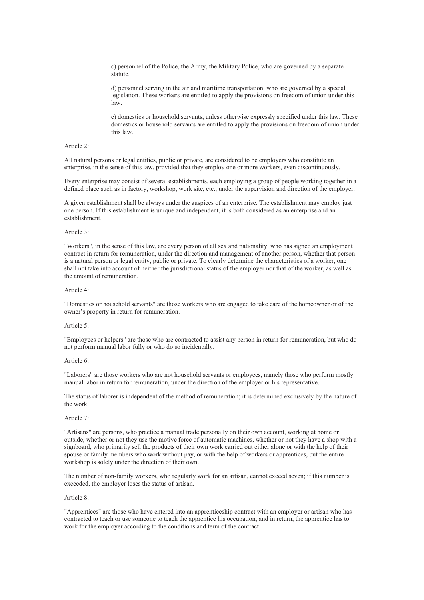c) personnel of the Police, the Army, the Military Police, who are governed by a separate statute.

d) personnel serving in the air and maritime transportation, who are governed by a special legislation. These workers are entitled to apply the provisions on freedom of union under this law.

e) domestics or household servants, unless otherwise expressly specified under this law. These domestics or household servants are entitled to apply the provisions on freedom of union under this law.

# Article 2:

All natural persons or legal entities, public or private, are considered to be employers who constitute an enterprise, in the sense of this law, provided that they employ one or more workers, even discontinuously.

Every enterprise may consist of several establishments, each employing a group of people working together in a defined place such as in factory, workshop, work site, etc., under the supervision and direction of the employer.

A given establishment shall be always under the auspices of an enterprise. The establishment may employ just one person. If this establishment is unique and independent, it is both considered as an enterprise and an establishment.

## Article 3:

"Workers", in the sense of this law, are every person of all sex and nationality, who has signed an employment contract in return for remuneration, under the direction and management of another person, whether that person is a natural person or legal entity, public or private. To clearly determine the characteristics of a worker, one shall not take into account of neither the jurisdictional status of the employer nor that of the worker, as well as the amount of remuneration.

#### Article 4:

"Domestics or household servants" are those workers who are engaged to take care of the homeowner or of the owner's property in return for remuneration.

### Article 5:

"Employees or helpers" are those who are contracted to assist any person in return for remuneration, but who do not perform manual labor fully or who do so incidentally.

### Article 6:

"Laborers" are those workers who are not household servants or employees, namely those who perform mostly manual labor in return for remuneration, under the direction of the employer or his representative.

The status of laborer is independent of the method of remuneration; it is determined exclusively by the nature of the work.

#### Article 7:

"Artisans" are persons, who practice a manual trade personally on their own account, working at home or outside, whether or not they use the motive force of automatic machines, whether or not they have a shop with a signboard, who primarily sell the products of their own work carried out either alone or with the help of their spouse or family members who work without pay, or with the help of workers or apprentices, but the entire workshop is solely under the direction of their own.

The number of non-family workers, who regularly work for an artisan, cannot exceed seven; if this number is exceeded, the employer loses the status of artisan.

#### Article 8:

"Apprentices" are those who have entered into an apprenticeship contract with an employer or artisan who has contracted to teach or use someone to teach the apprentice his occupation; and in return, the apprentice has to work for the employer according to the conditions and term of the contract.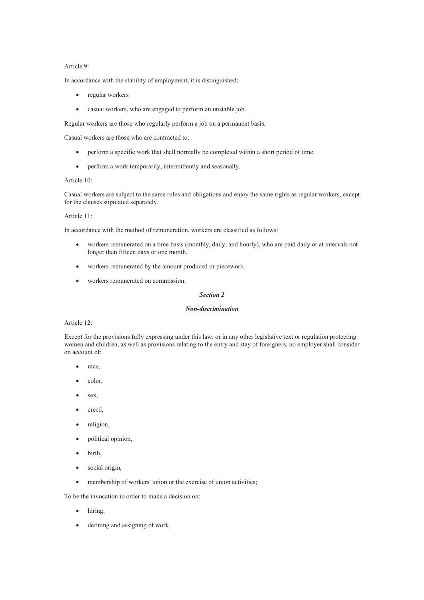# Article 9:

In accordance with the stability of employment, it is distinguished:

- regular workers
- ! casual workers, who are engaged to perform an unstable job.

Regular workers are those who regularly perform a job on a permanent basis.

Casual workers are those who are contracted to:

- ! perform a specific work that shall normally be completed within a short period of time.
- ! perform a work temporarily, intermittently and seasonally.

# Article 10:

Casual workers are subject to the same rules and obligations and enjoy the same rights as regular workers, except for the clauses stipulated separately.

## Article 11:

In accordance with the method of remuneration, workers are classified as follows:

- ! workers remunerated on a time basis (monthly, daily, and hourly), who are paid daily or at intervals not longer than fifteen days or one month.
- ! workers remunerated by the amount produced or piecework.
- workers remunerated on commission.

# *Section 2*

# *Non-discrimination*

# Article 12:

Except for the provisions fully expressing under this law, or in any other legislative text or regulation protecting women and children, as well as provisions relating to the entry and stay of foreigners, no employer shall consider on account of:

- race,
- color,
- $\bullet$  sex,
- creed,
- religion,
- political opinion,
- birth,
- social origin,
- membership of workers' union or the exercise of union activities;

To be the invocation in order to make a decision on:

- hiring,
- defining and assigning of work,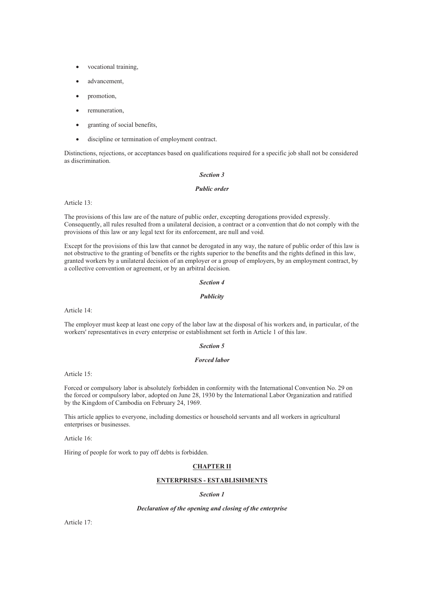- vocational training,
- advancement,
- promotion,
- remuneration,
- granting of social benefits,
- ! discipline or termination of employment contract.

Distinctions, rejections, or acceptances based on qualifications required for a specific job shall not be considered as discrimination.

# *Section 3*

#### *Public order*

Article 13:

The provisions of this law are of the nature of public order, excepting derogations provided expressly. Consequently, all rules resulted from a unilateral decision, a contract or a convention that do not comply with the provisions of this law or any legal text for its enforcement, are null and void.

Except for the provisions of this law that cannot be derogated in any way, the nature of public order of this law is not obstructive to the granting of benefits or the rights superior to the benefits and the rights defined in this law, granted workers by a unilateral decision of an employer or a group of employers, by an employment contract, by a collective convention or agreement, or by an arbitral decision.

#### *Section 4*

# *Publicity*

Article 14:

The employer must keep at least one copy of the labor law at the disposal of his workers and, in particular, of the workers' representatives in every enterprise or establishment set forth in Article 1 of this law.

# *Section 5*

# *Forced labor*

Article 15:

Forced or compulsory labor is absolutely forbidden in conformity with the International Convention No. 29 on the forced or compulsory labor, adopted on June 28, 1930 by the International Labor Organization and ratified by the Kingdom of Cambodia on February 24, 1969.

This article applies to everyone, including domestics or household servants and all workers in agricultural enterprises or businesses.

Article 16:

Hiring of people for work to pay off debts is forbidden.

# **CHAPTER II**

# **ENTERPRISES - ESTABLISHMENTS**

*Section 1* 

*Declaration of the opening and closing of the enterprise* 

Article 17: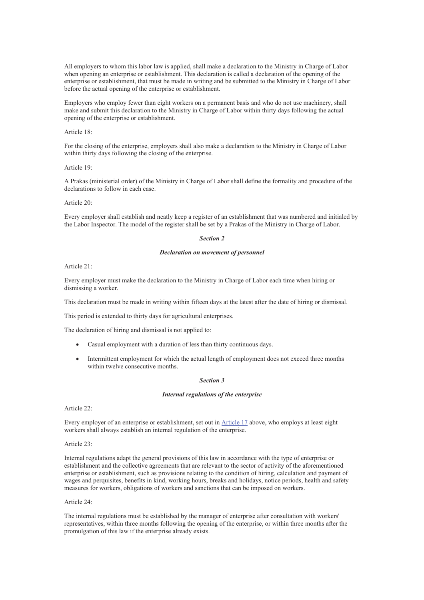All employers to whom this labor law is applied, shall make a declaration to the Ministry in Charge of Labor when opening an enterprise or establishment. This declaration is called a declaration of the opening of the enterprise or establishment, that must be made in writing and be submitted to the Ministry in Charge of Labor before the actual opening of the enterprise or establishment.

Employers who employ fewer than eight workers on a permanent basis and who do not use machinery, shall make and submit this declaration to the Ministry in Charge of Labor within thirty days following the actual opening of the enterprise or establishment.

Article 18:

For the closing of the enterprise, employers shall also make a declaration to the Ministry in Charge of Labor within thirty days following the closing of the enterprise.

Article 19:

A Prakas (ministerial order) of the Ministry in Charge of Labor shall define the formality and procedure of the declarations to follow in each case.

 $Articl$ e 20:

Every employer shall establish and neatly keep a register of an establishment that was numbered and initialed by the Labor Inspector. The model of the register shall be set by a Prakas of the Ministry in Charge of Labor.

# *Section 2*

# *Declaration on movement of personnel*

Article 21:

Every employer must make the declaration to the Ministry in Charge of Labor each time when hiring or dismissing a worker.

This declaration must be made in writing within fifteen days at the latest after the date of hiring or dismissal.

This period is extended to thirty days for agricultural enterprises.

The declaration of hiring and dismissal is not applied to:

- ! Casual employment with a duration of less than thirty continuous days.
- ! Intermittent employment for which the actual length of employment does not exceed three months within twelve consecutive months.

# *Section 3*

### *Internal regulations of the enterprise*

Article 22:

Every employer of an enterprise or establishment, set out in Article 17 above, who employs at least eight workers shall always establish an internal regulation of the enterprise.

# Article 23:

Internal regulations adapt the general provisions of this law in accordance with the type of enterprise or establishment and the collective agreements that are relevant to the sector of activity of the aforementioned enterprise or establishment, such as provisions relating to the condition of hiring, calculation and payment of wages and perquisites, benefits in kind, working hours, breaks and holidays, notice periods, health and safety measures for workers, obligations of workers and sanctions that can be imposed on workers.

# Article 24:

The internal regulations must be established by the manager of enterprise after consultation with workers' representatives, within three months following the opening of the enterprise, or within three months after the promulgation of this law if the enterprise already exists.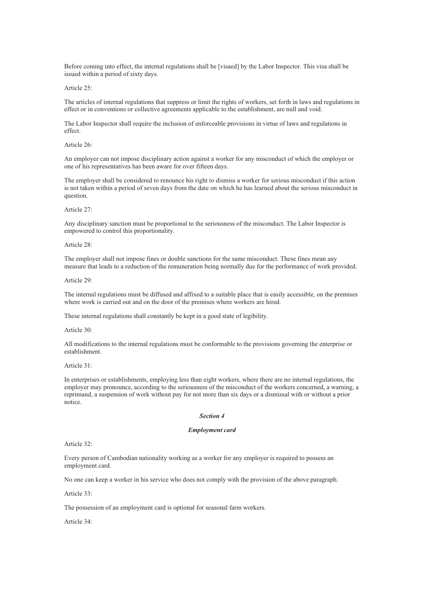Before coming into effect, the internal regulations shall be [visaed] by the Labor Inspector. This visa shall be issued within a period of sixty days.

### Article 25:

The articles of internal regulations that suppress or limit the rights of workers, set forth in laws and regulations in effect or in conventions or collective agreements applicable to the establishment, are null and void.

The Labor Inspector shall require the inclusion of enforceable provisions in virtue of laws and regulations in effect.

# Article 26:

An employer can not impose disciplinary action against a worker for any misconduct of which the employer or one of his representatives has been aware for over fifteen days.

The employer shall be considered to renounce his right to dismiss a worker for serious misconduct if this action is not taken within a period of seven days from the date on which he has learned about the serious misconduct in question.

#### Article 27:

Any disciplinary sanction must be proportional to the seriousness of the misconduct. The Labor Inspector is empowered to control this proportionality.

#### Article 28:

The employer shall not impose fines or double sanctions for the same misconduct. These fines mean any measure that leads to a reduction of the remuneration being normally due for the performance of work provided.

## Article 29:

The internal regulations must be diffused and affixed to a suitable place that is easily accessible, on the premises where work is carried out and on the door of the premises where workers are hired.

These internal regulations shall constantly be kept in a good state of legibility.

Article 30:

All modifications to the internal regulations must be conformable to the provisions governing the enterprise or establishment.

Article 31:

In enterprises or establishments, employing less than eight workers, where there are no internal regulations, the employer may pronounce, according to the seriousness of the misconduct of the workers concerned, a warning, a reprimand, a suspension of work without pay for not more than six days or a dismissal with or without a prior notice.

## *Section 4*

#### *Employment card*

Article 32:

Every person of Cambodian nationality working as a worker for any employer is required to possess an employment card.

No one can keep a worker in his service who does not comply with the provision of the above paragraph.

Article 33:

The possession of an employment card is optional for seasonal farm workers.

Article 34: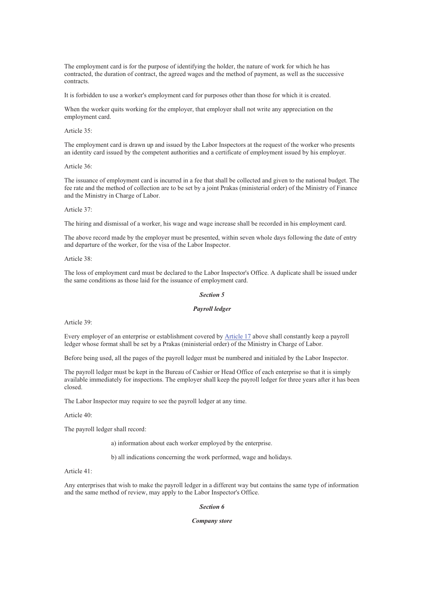The employment card is for the purpose of identifying the holder, the nature of work for which he has contracted, the duration of contract, the agreed wages and the method of payment, as well as the successive contracts.

It is forbidden to use a worker's employment card for purposes other than those for which it is created.

When the worker quits working for the employer, that employer shall not write any appreciation on the employment card.

### $Articl<sub>e</sub>$  35:

The employment card is drawn up and issued by the Labor Inspectors at the request of the worker who presents an identity card issued by the competent authorities and a certificate of employment issued by his employer.

Article 36:

The issuance of employment card is incurred in a fee that shall be collected and given to the national budget. The fee rate and the method of collection are to be set by a joint Prakas (ministerial order) of the Ministry of Finance and the Ministry in Charge of Labor.

#### Article 37:

The hiring and dismissal of a worker, his wage and wage increase shall be recorded in his employment card.

The above record made by the employer must be presented, within seven whole days following the date of entry and departure of the worker, for the visa of the Labor Inspector.

Article 38:

The loss of employment card must be declared to the Labor Inspector's Office. A duplicate shall be issued under the same conditions as those laid for the issuance of employment card.

## *Section 5*

# *Payroll ledger*

Article 39:

Every employer of an enterprise or establishment covered by Article 17 above shall constantly keep a payroll ledger whose format shall be set by a Prakas (ministerial order) of the Ministry in Charge of Labor.

Before being used, all the pages of the payroll ledger must be numbered and initialed by the Labor Inspector.

The payroll ledger must be kept in the Bureau of Cashier or Head Office of each enterprise so that it is simply available immediately for inspections. The employer shall keep the payroll ledger for three years after it has been closed.

The Labor Inspector may require to see the payroll ledger at any time.

Article 40:

The payroll ledger shall record:

a) information about each worker employed by the enterprise.

b) all indications concerning the work performed, wage and holidays.

Article 41:

Any enterprises that wish to make the payroll ledger in a different way but contains the same type of information and the same method of review, may apply to the Labor Inspector's Office.

*Section 6* 

#### *Company store*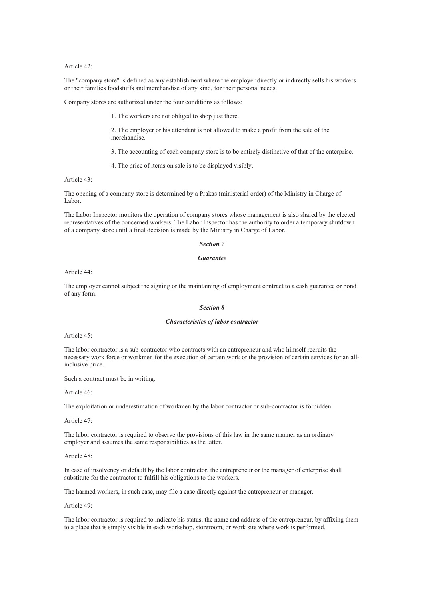Article 42:

The "company store" is defined as any establishment where the employer directly or indirectly sells his workers or their families foodstuffs and merchandise of any kind, for their personal needs.

Company stores are authorized under the four conditions as follows:

1. The workers are not obliged to shop just there.

2. The employer or his attendant is not allowed to make a profit from the sale of the merchandise.

3. The accounting of each company store is to be entirely distinctive of that of the enterprise.

4. The price of items on sale is to be displayed visibly.

Article 43:

The opening of a company store is determined by a Prakas (ministerial order) of the Ministry in Charge of Labor.

The Labor Inspector monitors the operation of company stores whose management is also shared by the elected representatives of the concerned workers. The Labor Inspector has the authority to order a temporary shutdown of a company store until a final decision is made by the Ministry in Charge of Labor.

### *Section 7*

#### *Guarantee*

Article 44:

The employer cannot subject the signing or the maintaining of employment contract to a cash guarantee or bond of any form.

### *Section 8*

#### *Characteristics of labor contractor*

Article 45:

The labor contractor is a sub-contractor who contracts with an entrepreneur and who himself recruits the necessary work force or workmen for the execution of certain work or the provision of certain services for an allinclusive price.

Such a contract must be in writing.

Article 46:

The exploitation or underestimation of workmen by the labor contractor or sub-contractor is forbidden.

Article 47:

The labor contractor is required to observe the provisions of this law in the same manner as an ordinary employer and assumes the same responsibilities as the latter.

Article 48:

In case of insolvency or default by the labor contractor, the entrepreneur or the manager of enterprise shall substitute for the contractor to fulfill his obligations to the workers.

The harmed workers, in such case, may file a case directly against the entrepreneur or manager.

Article 49:

The labor contractor is required to indicate his status, the name and address of the entrepreneur, by affixing them to a place that is simply visible in each workshop, storeroom, or work site where work is performed.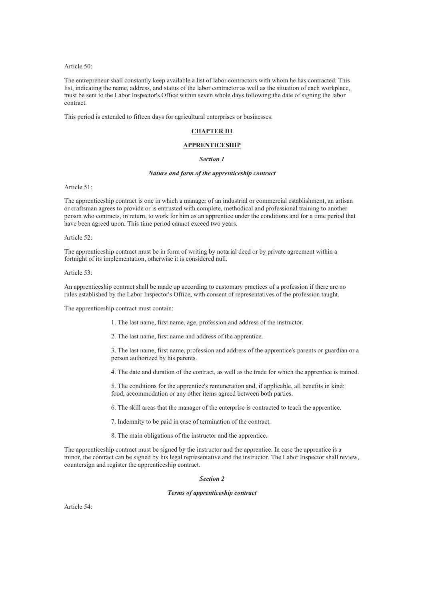Article 50:

The entrepreneur shall constantly keep available a list of labor contractors with whom he has contracted. This list, indicating the name, address, and status of the labor contractor as well as the situation of each workplace, must be sent to the Labor Inspector's Office within seven whole days following the date of signing the labor contract.

This period is extended to fifteen days for agricultural enterprises or businesses.

# **CHAPTER III**

### **APPRENTICESHIP**

#### *Section 1*

## *Nature and form of the apprenticeship contract*

Article 51:

The apprenticeship contract is one in which a manager of an industrial or commercial establishment, an artisan or craftsman agrees to provide or is entrusted with complete, methodical and professional training to another person who contracts, in return, to work for him as an apprentice under the conditions and for a time period that have been agreed upon. This time period cannot exceed two years.

Article 52:

The apprenticeship contract must be in form of writing by notarial deed or by private agreement within a fortnight of its implementation, otherwise it is considered null.

Article 53:

An apprenticeship contract shall be made up according to customary practices of a profession if there are no rules established by the Labor Inspector's Office, with consent of representatives of the profession taught.

The apprenticeship contract must contain:

1. The last name, first name, age, profession and address of the instructor.

2. The last name, first name and address of the apprentice.

3. The last name, first name, profession and address of the apprentice's parents or guardian or a person authorized by his parents.

4. The date and duration of the contract, as well as the trade for which the apprentice is trained.

5. The conditions for the apprentice's remuneration and, if applicable, all benefits in kind: food, accommodation or any other items agreed between both parties.

6. The skill areas that the manager of the enterprise is contracted to teach the apprentice.

7. Indemnity to be paid in case of termination of the contract.

8. The main obligations of the instructor and the apprentice.

The apprenticeship contract must be signed by the instructor and the apprentice. In case the apprentice is a minor, the contract can be signed by his legal representative and the instructor. The Labor Inspector shall review, countersign and register the apprenticeship contract.

# *Section 2*

# *Terms of apprenticeship contract*

Article 54: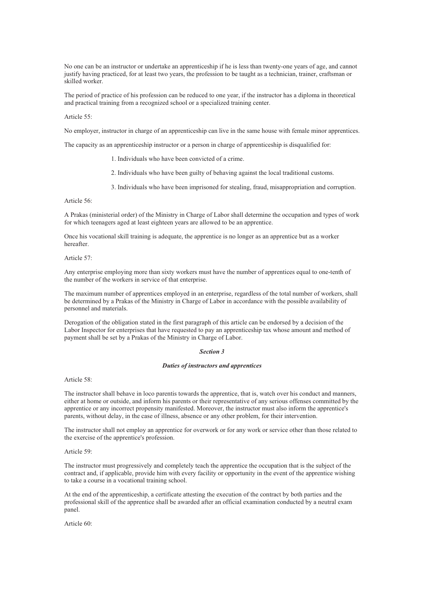No one can be an instructor or undertake an apprenticeship if he is less than twenty-one years of age, and cannot justify having practiced, for at least two years, the profession to be taught as a technician, trainer, craftsman or skilled worker.

The period of practice of his profession can be reduced to one year, if the instructor has a diploma in theoretical and practical training from a recognized school or a specialized training center.

#### Article 55:

No employer, instructor in charge of an apprenticeship can live in the same house with female minor apprentices.

The capacity as an apprenticeship instructor or a person in charge of apprenticeship is disqualified for:

- 1. Individuals who have been convicted of a crime.
- 2. Individuals who have been guilty of behaving against the local traditional customs.
- 3. Individuals who have been imprisoned for stealing, fraud, misappropriation and corruption.

# Article 56:

A Prakas (ministerial order) of the Ministry in Charge of Labor shall determine the occupation and types of work for which teenagers aged at least eighteen years are allowed to be an apprentice.

Once his vocational skill training is adequate, the apprentice is no longer as an apprentice but as a worker hereafter.

### Article 57:

Any enterprise employing more than sixty workers must have the number of apprentices equal to one-tenth of the number of the workers in service of that enterprise.

The maximum number of apprentices employed in an enterprise, regardless of the total number of workers, shall be determined by a Prakas of the Ministry in Charge of Labor in accordance with the possible availability of personnel and materials.

Derogation of the obligation stated in the first paragraph of this article can be endorsed by a decision of the Labor Inspector for enterprises that have requested to pay an apprenticeship tax whose amount and method of payment shall be set by a Prakas of the Ministry in Charge of Labor.

### *Section 3*

#### *Duties of instructors and apprentices*

Article 58:

The instructor shall behave in loco parentis towards the apprentice, that is, watch over his conduct and manners, either at home or outside, and inform his parents or their representative of any serious offenses committed by the apprentice or any incorrect propensity manifested. Moreover, the instructor must also inform the apprentice's parents, without delay, in the case of illness, absence or any other problem, for their intervention.

The instructor shall not employ an apprentice for overwork or for any work or service other than those related to the exercise of the apprentice's profession.

Article 59:

The instructor must progressively and completely teach the apprentice the occupation that is the subject of the contract and, if applicable, provide him with every facility or opportunity in the event of the apprentice wishing to take a course in a vocational training school.

At the end of the apprenticeship, a certificate attesting the execution of the contract by both parties and the professional skill of the apprentice shall be awarded after an official examination conducted by a neutral exam panel.

Article 60: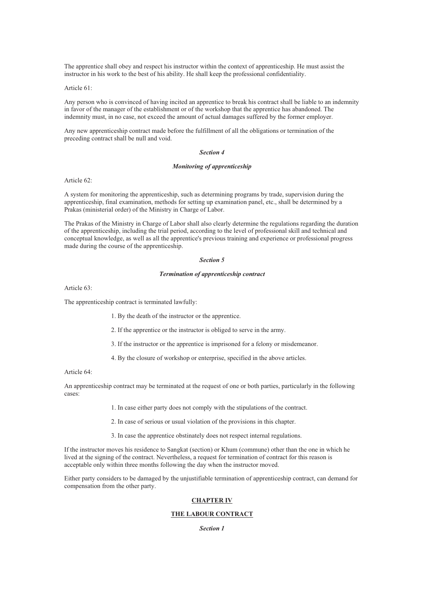The apprentice shall obey and respect his instructor within the context of apprenticeship. He must assist the instructor in his work to the best of his ability. He shall keep the professional confidentiality.

Article 61:

Any person who is convinced of having incited an apprentice to break his contract shall be liable to an indemnity in favor of the manager of the establishment or of the workshop that the apprentice has abandoned. The indemnity must, in no case, not exceed the amount of actual damages suffered by the former employer.

Any new apprenticeship contract made before the fulfillment of all the obligations or termination of the preceding contract shall be null and void.

# *Section 4*

## *Monitoring of apprenticeship*

Article 62:

A system for monitoring the apprenticeship, such as determining programs by trade, supervision during the apprenticeship, final examination, methods for setting up examination panel, etc., shall be determined by a Prakas (ministerial order) of the Ministry in Charge of Labor.

The Prakas of the Ministry in Charge of Labor shall also clearly determine the regulations regarding the duration of the apprenticeship, including the trial period, according to the level of professional skill and technical and conceptual knowledge, as well as all the apprentice's previous training and experience or professional progress made during the course of the apprenticeship.

#### *Section 5*

#### *Termination of apprenticeship contract*

Article 63:

The apprenticeship contract is terminated lawfully:

1. By the death of the instructor or the apprentice.

2. If the apprentice or the instructor is obliged to serve in the army.

3. If the instructor or the apprentice is imprisoned for a felony or misdemeanor.

4. By the closure of workshop or enterprise, specified in the above articles.

Article 64:

An apprenticeship contract may be terminated at the request of one or both parties, particularly in the following cases:

1. In case either party does not comply with the stipulations of the contract.

2. In case of serious or usual violation of the provisions in this chapter.

3. In case the apprentice obstinately does not respect internal regulations.

If the instructor moves his residence to Sangkat (section) or Khum (commune) other than the one in which he lived at the signing of the contract. Nevertheless, a request for termination of contract for this reason is acceptable only within three months following the day when the instructor moved.

Either party considers to be damaged by the unjustifiable termination of apprenticeship contract, can demand for compensation from the other party.

# **CHAPTER IV**

# **THE LABOUR CONTRACT**

*Section 1*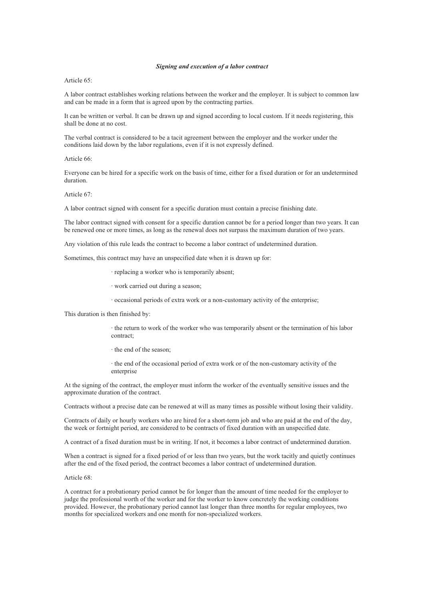## *Signing and execution of a labor contract*

Article 65:

A labor contract establishes working relations between the worker and the employer. It is subject to common law and can be made in a form that is agreed upon by the contracting parties.

It can be written or verbal. It can be drawn up and signed according to local custom. If it needs registering, this shall be done at no cost.

The verbal contract is considered to be a tacit agreement between the employer and the worker under the conditions laid down by the labor regulations, even if it is not expressly defined.

#### Article 66:

Everyone can be hired for a specific work on the basis of time, either for a fixed duration or for an undetermined duration.

### Article 67:

A labor contract signed with consent for a specific duration must contain a precise finishing date.

The labor contract signed with consent for a specific duration cannot be for a period longer than two years. It can be renewed one or more times, as long as the renewal does not surpass the maximum duration of two years.

Any violation of this rule leads the contract to become a labor contract of undetermined duration.

Sometimes, this contract may have an unspecified date when it is drawn up for:

· replacing a worker who is temporarily absent;

· work carried out during a season;

· occasional periods of extra work or a non-customary activity of the enterprise;

This duration is then finished by:

· the return to work of the worker who was temporarily absent or the termination of his labor contract;

· the end of the season;

· the end of the occasional period of extra work or of the non-customary activity of the enterprise

At the signing of the contract, the employer must inform the worker of the eventually sensitive issues and the approximate duration of the contract.

Contracts without a precise date can be renewed at will as many times as possible without losing their validity.

Contracts of daily or hourly workers who are hired for a short-term job and who are paid at the end of the day, the week or fortnight period, are considered to be contracts of fixed duration with an unspecified date.

A contract of a fixed duration must be in writing. If not, it becomes a labor contract of undetermined duration.

When a contract is signed for a fixed period of or less than two years, but the work tacitly and quietly continues after the end of the fixed period, the contract becomes a labor contract of undetermined duration.

Article 68:

A contract for a probationary period cannot be for longer than the amount of time needed for the employer to judge the professional worth of the worker and for the worker to know concretely the working conditions provided. However, the probationary period cannot last longer than three months for regular employees, two months for specialized workers and one month for non-specialized workers.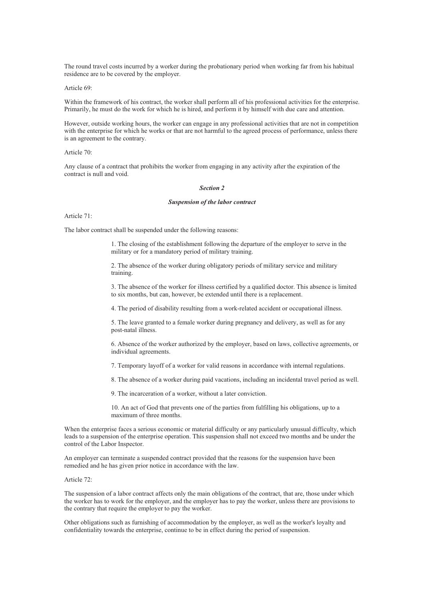The round travel costs incurred by a worker during the probationary period when working far from his habitual residence are to be covered by the employer.

Article 69:

Within the framework of his contract, the worker shall perform all of his professional activities for the enterprise. Primarily, he must do the work for which he is hired, and perform it by himself with due care and attention.

However, outside working hours, the worker can engage in any professional activities that are not in competition with the enterprise for which he works or that are not harmful to the agreed process of performance, unless there is an agreement to the contrary.

Article 70:

Any clause of a contract that prohibits the worker from engaging in any activity after the expiration of the contract is null and void.

# *Section 2*

### *Suspension of the labor contract*

Article 71:

The labor contract shall be suspended under the following reasons:

1. The closing of the establishment following the departure of the employer to serve in the military or for a mandatory period of military training.

2. The absence of the worker during obligatory periods of military service and military training.

3. The absence of the worker for illness certified by a qualified doctor. This absence is limited to six months, but can, however, be extended until there is a replacement.

4. The period of disability resulting from a work-related accident or occupational illness.

5. The leave granted to a female worker during pregnancy and delivery, as well as for any post-natal illness.

6. Absence of the worker authorized by the employer, based on laws, collective agreements, or individual agreements.

7. Temporary layoff of a worker for valid reasons in accordance with internal regulations.

8. The absence of a worker during paid vacations, including an incidental travel period as well.

9. The incarceration of a worker, without a later conviction.

10. An act of God that prevents one of the parties from fulfilling his obligations, up to a maximum of three months.

When the enterprise faces a serious economic or material difficulty or any particularly unusual difficulty, which leads to a suspension of the enterprise operation. This suspension shall not exceed two months and be under the control of the Labor Inspector.

An employer can terminate a suspended contract provided that the reasons for the suspension have been remedied and he has given prior notice in accordance with the law.

Article 72:

The suspension of a labor contract affects only the main obligations of the contract, that are, those under which the worker has to work for the employer, and the employer has to pay the worker, unless there are provisions to the contrary that require the employer to pay the worker.

Other obligations such as furnishing of accommodation by the employer, as well as the worker's loyalty and confidentiality towards the enterprise, continue to be in effect during the period of suspension.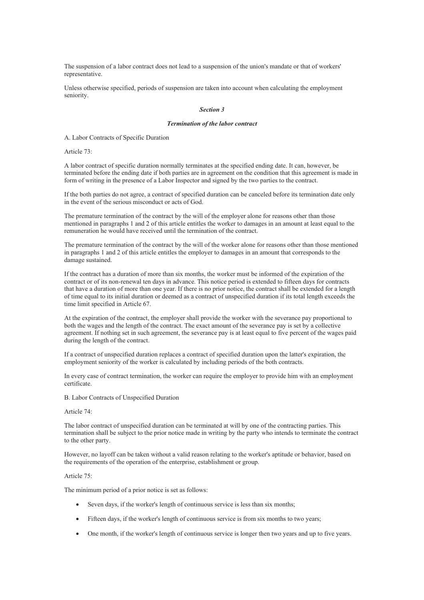The suspension of a labor contract does not lead to a suspension of the union's mandate or that of workers' representative.

Unless otherwise specified, periods of suspension are taken into account when calculating the employment seniority.

## *Section 3*

#### *Termination of the labor contract*

A. Labor Contracts of Specific Duration

Article 73:

A labor contract of specific duration normally terminates at the specified ending date. It can, however, be terminated before the ending date if both parties are in agreement on the condition that this agreement is made in form of writing in the presence of a Labor Inspector and signed by the two parties to the contract.

If the both parties do not agree, a contract of specified duration can be canceled before its termination date only in the event of the serious misconduct or acts of God.

The premature termination of the contract by the will of the employer alone for reasons other than those mentioned in paragraphs 1 and 2 of this article entitles the worker to damages in an amount at least equal to the remuneration he would have received until the termination of the contract.

The premature termination of the contract by the will of the worker alone for reasons other than those mentioned in paragraphs 1 and 2 of this article entitles the employer to damages in an amount that corresponds to the damage sustained.

If the contract has a duration of more than six months, the worker must be informed of the expiration of the contract or of its non-renewal ten days in advance. This notice period is extended to fifteen days for contracts that have a duration of more than one year. If there is no prior notice, the contract shall be extended for a length of time equal to its initial duration or deemed as a contract of unspecified duration if its total length exceeds the time limit specified in Article 67.

At the expiration of the contract, the employer shall provide the worker with the severance pay proportional to both the wages and the length of the contract. The exact amount of the severance pay is set by a collective agreement. If nothing set in such agreement, the severance pay is at least equal to five percent of the wages paid during the length of the contract.

If a contract of unspecified duration replaces a contract of specified duration upon the latter's expiration, the employment seniority of the worker is calculated by including periods of the both contracts.

In every case of contract termination, the worker can require the employer to provide him with an employment certificate.

B. Labor Contracts of Unspecified Duration

Article 74:

The labor contract of unspecified duration can be terminated at will by one of the contracting parties. This termination shall be subject to the prior notice made in writing by the party who intends to terminate the contract to the other party.

However, no layoff can be taken without a valid reason relating to the worker's aptitude or behavior, based on the requirements of the operation of the enterprise, establishment or group.

Article 75:

The minimum period of a prior notice is set as follows:

- ! Seven days, if the worker's length of continuous service is less than six months;
- ! Fifteen days, if the worker's length of continuous service is from six months to two years;
- ! One month, if the worker's length of continuous service is longer then two years and up to five years.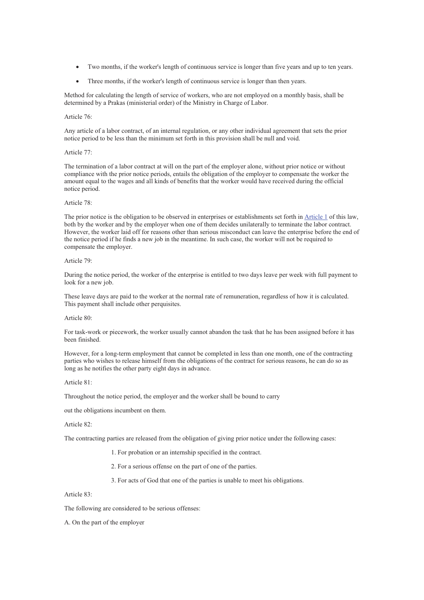- ! Two months, if the worker's length of continuous service is longer than five years and up to ten years.
- ! Three months, if the worker's length of continuous service is longer than then years.

Method for calculating the length of service of workers, who are not employed on a monthly basis, shall be determined by a Prakas (ministerial order) of the Ministry in Charge of Labor.

# Article 76:

Any article of a labor contract, of an internal regulation, or any other individual agreement that sets the prior notice period to be less than the minimum set forth in this provision shall be null and void.

## Article 77:

The termination of a labor contract at will on the part of the employer alone, without prior notice or without compliance with the prior notice periods, entails the obligation of the employer to compensate the worker the amount equal to the wages and all kinds of benefits that the worker would have received during the official notice period.

## Article 78:

The prior notice is the obligation to be observed in enterprises or establishments set forth in Article 1 of this law, both by the worker and by the employer when one of them decides unilaterally to terminate the labor contract. However, the worker laid off for reasons other than serious misconduct can leave the enterprise before the end of the notice period if he finds a new job in the meantime. In such case, the worker will not be required to compensate the employer.

# Article 79:

During the notice period, the worker of the enterprise is entitled to two days leave per week with full payment to look for a new job.

These leave days are paid to the worker at the normal rate of remuneration, regardless of how it is calculated. This payment shall include other perquisites.

## Article 80:

For task-work or piecework, the worker usually cannot abandon the task that he has been assigned before it has been finished.

However, for a long-term employment that cannot be completed in less than one month, one of the contracting parties who wishes to release himself from the obligations of the contract for serious reasons, he can do so as long as he notifies the other party eight days in advance.

### Article 81:

Throughout the notice period, the employer and the worker shall be bound to carry

out the obligations incumbent on them.

# Article 82:

The contracting parties are released from the obligation of giving prior notice under the following cases:

- 1. For probation or an internship specified in the contract.
- 2. For a serious offense on the part of one of the parties.
- 3. For acts of God that one of the parties is unable to meet his obligations.

# Article 83:

The following are considered to be serious offenses:

A. On the part of the employer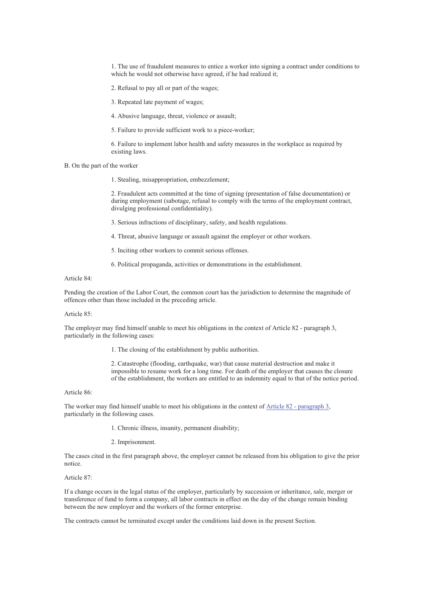1. The use of fraudulent measures to entice a worker into signing a contract under conditions to which he would not otherwise have agreed, if he had realized it;

2. Refusal to pay all or part of the wages;

3. Repeated late payment of wages;

4. Abusive language, threat, violence or assault;

5. Failure to provide sufficient work to a piece-worker;

6. Failure to implement labor health and safety measures in the workplace as required by existing laws.

B. On the part of the worker

1. Stealing, misappropriation, embezzlement;

2. Fraudulent acts committed at the time of signing (presentation of false documentation) or during employment (sabotage, refusal to comply with the terms of the employment contract, divulging professional confidentiality).

3. Serious infractions of disciplinary, safety, and health regulations.

4. Threat, abusive language or assault against the employer or other workers.

5. Inciting other workers to commit serious offenses.

6. Political propaganda, activities or demonstrations in the establishment.

Article 84:

Pending the creation of the Labor Court, the common court has the jurisdiction to determine the magnitude of offences other than those included in the preceding article.

Article 85:

The employer may find himself unable to meet his obligations in the context of Article 82 - paragraph 3, particularly in the following cases:

1. The closing of the establishment by public authorities.

2. Catastrophe (flooding, earthquake, war) that cause material destruction and make it impossible to resume work for a long time. For death of the employer that causes the closure of the establishment, the workers are entitled to an indemnity equal to that of the notice period.

Article 86:

The worker may find himself unable to meet his obligations in the context of Article 82 - paragraph 3, particularly in the following cases.

1. Chronic illness, insanity, permanent disability;

2. Imprisonment.

The cases cited in the first paragraph above, the employer cannot be released from his obligation to give the prior notice.

Article 87:

If a change occurs in the legal status of the employer, particularly by succession or inheritance, sale, merger or transference of fund to form a company, all labor contracts in effect on the day of the change remain binding between the new employer and the workers of the former enterprise.

The contracts cannot be terminated except under the conditions laid down in the present Section.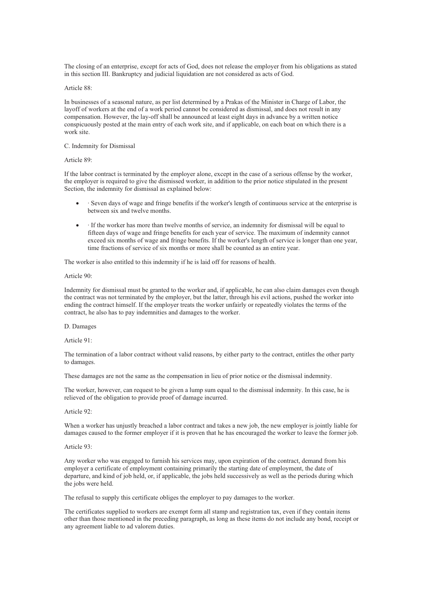The closing of an enterprise, except for acts of God, does not release the employer from his obligations as stated in this section III. Bankruptcy and judicial liquidation are not considered as acts of God.

Article 88:

In businesses of a seasonal nature, as per list determined by a Prakas of the Minister in Charge of Labor, the layoff of workers at the end of a work period cannot be considered as dismissal, and does not result in any compensation. However, the lay-off shall be announced at least eight days in advance by a written notice conspicuously posted at the main entry of each work site, and if applicable, on each boat on which there is a work site.

### C. Indemnity for Dismissal

Article 89:

If the labor contract is terminated by the employer alone, except in the case of a serious offense by the worker, the employer is required to give the dismissed worker, in addition to the prior notice stipulated in the present Section, the indemnity for dismissal as explained below:

- ! · Seven days of wage and fringe benefits if the worker's length of continuous service at the enterprise is between six and twelve months.
- If the worker has more than twelve months of service, an indemnity for dismissal will be equal to fifteen days of wage and fringe benefits for each year of service. The maximum of indemnity cannot exceed six months of wage and fringe benefits. If the worker's length of service is longer than one year, time fractions of service of six months or more shall be counted as an entire year.

The worker is also entitled to this indemnity if he is laid off for reasons of health.

Article 90:

Indemnity for dismissal must be granted to the worker and, if applicable, he can also claim damages even though the contract was not terminated by the employer, but the latter, through his evil actions, pushed the worker into ending the contract himself. If the employer treats the worker unfairly or repeatedly violates the terms of the contract, he also has to pay indemnities and damages to the worker.

# D. Damages

Article 91:

The termination of a labor contract without valid reasons, by either party to the contract, entitles the other party to damages.

These damages are not the same as the compensation in lieu of prior notice or the dismissal indemnity.

The worker, however, can request to be given a lump sum equal to the dismissal indemnity. In this case, he is relieved of the obligation to provide proof of damage incurred.

Article 92:

When a worker has unjustly breached a labor contract and takes a new job, the new employer is jointly liable for damages caused to the former employer if it is proven that he has encouraged the worker to leave the former job.

# Article 93:

Any worker who was engaged to furnish his services may, upon expiration of the contract, demand from his employer a certificate of employment containing primarily the starting date of employment, the date of departure, and kind of job held, or, if applicable, the jobs held successively as well as the periods during which the jobs were held.

The refusal to supply this certificate obliges the employer to pay damages to the worker.

The certificates supplied to workers are exempt form all stamp and registration tax, even if they contain items other than those mentioned in the preceding paragraph, as long as these items do not include any bond, receipt or any agreement liable to ad valorem duties.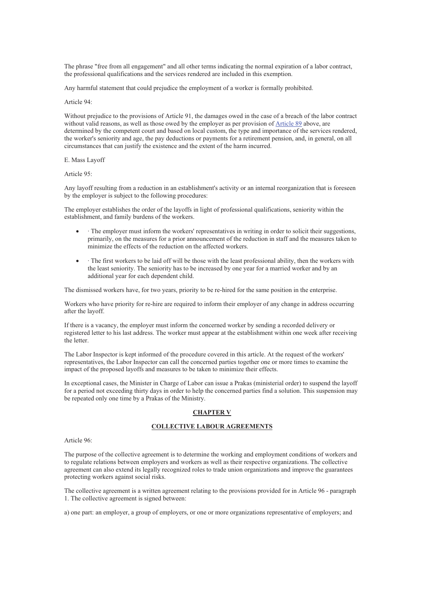The phrase "free from all engagement" and all other terms indicating the normal expiration of a labor contract, the professional qualifications and the services rendered are included in this exemption.

Any harmful statement that could prejudice the employment of a worker is formally prohibited.

Article 94:

Without prejudice to the provisions of Article 91, the damages owed in the case of a breach of the labor contract without valid reasons, as well as those owed by the employer as per provision of Article 89 above, are determined by the competent court and based on local custom, the type and importance of the services rendered, the worker's seniority and age, the pay deductions or payments for a retirement pension, and, in general, on all circumstances that can justify the existence and the extent of the harm incurred.

#### E. Mass Layoff

Article 95:

Any layoff resulting from a reduction in an establishment's activity or an internal reorganization that is foreseen by the employer is subject to the following procedures:

The employer establishes the order of the layoffs in light of professional qualifications, seniority within the establishment, and family burdens of the workers.

- The employer must inform the workers' representatives in writing in order to solicit their suggestions, primarily, on the measures for a prior announcement of the reduction in staff and the measures taken to minimize the effects of the reduction on the affected workers.
- ! · The first workers to be laid off will be those with the least professional ability, then the workers with the least seniority. The seniority has to be increased by one year for a married worker and by an additional year for each dependent child.

The dismissed workers have, for two years, priority to be re-hired for the same position in the enterprise.

Workers who have priority for re-hire are required to inform their employer of any change in address occurring after the layoff.

If there is a vacancy, the employer must inform the concerned worker by sending a recorded delivery or registered letter to his last address. The worker must appear at the establishment within one week after receiving the letter.

The Labor Inspector is kept informed of the procedure covered in this article. At the request of the workers' representatives, the Labor Inspector can call the concerned parties together one or more times to examine the impact of the proposed layoffs and measures to be taken to minimize their effects.

In exceptional cases, the Minister in Charge of Labor can issue a Prakas (ministerial order) to suspend the layoff for a period not exceeding thirty days in order to help the concerned parties find a solution. This suspension may be repeated only one time by a Prakas of the Ministry.

# **CHAPTER V**

# **COLLECTIVE LABOUR AGREEMENTS**

Article 96:

The purpose of the collective agreement is to determine the working and employment conditions of workers and to regulate relations between employers and workers as well as their respective organizations. The collective agreement can also extend its legally recognized roles to trade union organizations and improve the guarantees protecting workers against social risks.

The collective agreement is a written agreement relating to the provisions provided for in Article 96 - paragraph 1. The collective agreement is signed between:

a) one part: an employer, a group of employers, or one or more organizations representative of employers; and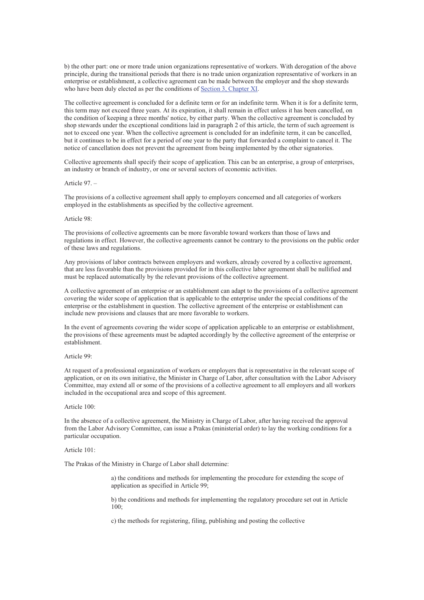b) the other part: one or more trade union organizations representative of workers. With derogation of the above principle, during the transitional periods that there is no trade union organization representative of workers in an enterprise or establishment, a collective agreement can be made between the employer and the shop stewards who have been duly elected as per the conditions of Section 3, Chapter XI.

The collective agreement is concluded for a definite term or for an indefinite term. When it is for a definite term, this term may not exceed three years. At its expiration, it shall remain in effect unless it has been cancelled, on the condition of keeping a three months' notice, by either party. When the collective agreement is concluded by shop stewards under the exceptional conditions laid in paragraph 2 of this article, the term of such agreement is not to exceed one year. When the collective agreement is concluded for an indefinite term, it can be cancelled, but it continues to be in effect for a period of one year to the party that forwarded a complaint to cancel it. The notice of cancellation does not prevent the agreement from being implemented by the other signatories.

Collective agreements shall specify their scope of application. This can be an enterprise, a group of enterprises, an industry or branch of industry, or one or several sectors of economic activities.

### Article 97. –

The provisions of a collective agreement shall apply to employers concerned and all categories of workers employed in the establishments as specified by the collective agreement.

#### Article 98:

The provisions of collective agreements can be more favorable toward workers than those of laws and regulations in effect. However, the collective agreements cannot be contrary to the provisions on the public order of these laws and regulations.

Any provisions of labor contracts between employers and workers, already covered by a collective agreement, that are less favorable than the provisions provided for in this collective labor agreement shall be nullified and must be replaced automatically by the relevant provisions of the collective agreement.

A collective agreement of an enterprise or an establishment can adapt to the provisions of a collective agreement covering the wider scope of application that is applicable to the enterprise under the special conditions of the enterprise or the establishment in question. The collective agreement of the enterprise or establishment can include new provisions and clauses that are more favorable to workers.

In the event of agreements covering the wider scope of application applicable to an enterprise or establishment, the provisions of these agreements must be adapted accordingly by the collective agreement of the enterprise or establishment.

# Article 99:

At request of a professional organization of workers or employers that is representative in the relevant scope of application, or on its own initiative, the Minister in Charge of Labor, after consultation with the Labor Advisory Committee, may extend all or some of the provisions of a collective agreement to all employers and all workers included in the occupational area and scope of this agreement.

### Article 100:

In the absence of a collective agreement, the Ministry in Charge of Labor, after having received the approval from the Labor Advisory Committee, can issue a Prakas (ministerial order) to lay the working conditions for a particular occupation.

# Article 101:

The Prakas of the Ministry in Charge of Labor shall determine:

a) the conditions and methods for implementing the procedure for extending the scope of application as specified in Article 99;

b) the conditions and methods for implementing the regulatory procedure set out in Article  $100 \cdot$ 

c) the methods for registering, filing, publishing and posting the collective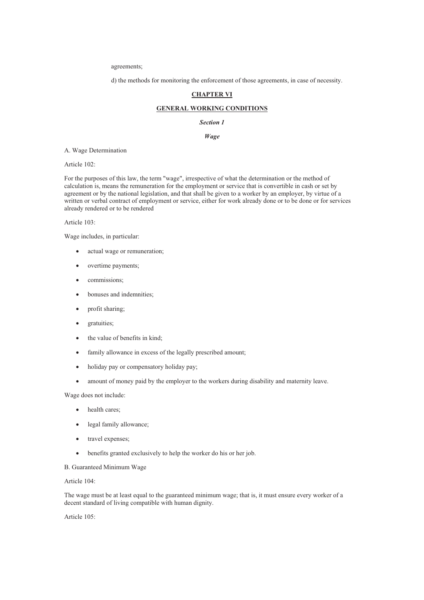agreements;

d) the methods for monitoring the enforcement of those agreements, in case of necessity.

# **CHAPTER VI**

# **GENERAL WORKING CONDITIONS**

# *Section 1*

# *Wage*

# A. Wage Determination

Article 102:

For the purposes of this law, the term "wage", irrespective of what the determination or the method of calculation is, means the remuneration for the employment or service that is convertible in cash or set by agreement or by the national legislation, and that shall be given to a worker by an employer, by virtue of a written or verbal contract of employment or service, either for work already done or to be done or for services already rendered or to be rendered

# Article 103:

Wage includes, in particular:

- actual wage or remuneration;
- overtime payments;
- commissions;
- bonuses and indemnities:
- profit sharing;
- gratuities;
- the value of benefits in kind;
- ! family allowance in excess of the legally prescribed amount;
- ! holiday pay or compensatory holiday pay;
- ! amount of money paid by the employer to the workers during disability and maternity leave.

Wage does not include:

- health cares;
- legal family allowance;
- travel expenses;
- benefits granted exclusively to help the worker do his or her job.

B. Guaranteed Minimum Wage

## Article 104:

The wage must be at least equal to the guaranteed minimum wage; that is, it must ensure every worker of a decent standard of living compatible with human dignity.

Article 105: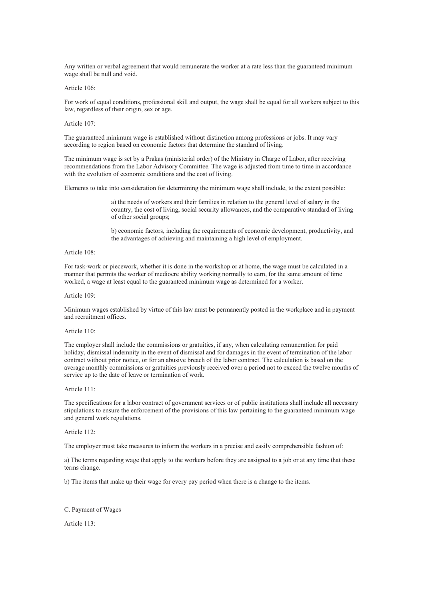Any written or verbal agreement that would remunerate the worker at a rate less than the guaranteed minimum wage shall be null and void.

Article 106:

For work of equal conditions, professional skill and output, the wage shall be equal for all workers subject to this law, regardless of their origin, sex or age.

Article 107:

The guaranteed minimum wage is established without distinction among professions or jobs. It may vary according to region based on economic factors that determine the standard of living.

The minimum wage is set by a Prakas (ministerial order) of the Ministry in Charge of Labor, after receiving recommendations from the Labor Advisory Committee. The wage is adjusted from time to time in accordance with the evolution of economic conditions and the cost of living.

Elements to take into consideration for determining the minimum wage shall include, to the extent possible:

a) the needs of workers and their families in relation to the general level of salary in the country, the cost of living, social security allowances, and the comparative standard of living of other social groups;

b) economic factors, including the requirements of economic development, productivity, and the advantages of achieving and maintaining a high level of employment.

Article 108:

For task-work or piecework, whether it is done in the workshop or at home, the wage must be calculated in a manner that permits the worker of mediocre ability working normally to earn, for the same amount of time worked, a wage at least equal to the guaranteed minimum wage as determined for a worker.

#### Article 109:

Minimum wages established by virtue of this law must be permanently posted in the workplace and in payment and recruitment offices.

# Article 110:

The employer shall include the commissions or gratuities, if any, when calculating remuneration for paid holiday, dismissal indemnity in the event of dismissal and for damages in the event of termination of the labor contract without prior notice, or for an abusive breach of the labor contract. The calculation is based on the average monthly commissions or gratuities previously received over a period not to exceed the twelve months of service up to the date of leave or termination of work.

Article 111:

The specifications for a labor contract of government services or of public institutions shall include all necessary stipulations to ensure the enforcement of the provisions of this law pertaining to the guaranteed minimum wage and general work regulations.

# Article 112:

The employer must take measures to inform the workers in a precise and easily comprehensible fashion of:

a) The terms regarding wage that apply to the workers before they are assigned to a job or at any time that these terms change.

b) The items that make up their wage for every pay period when there is a change to the items.

## C. Payment of Wages

Article 113: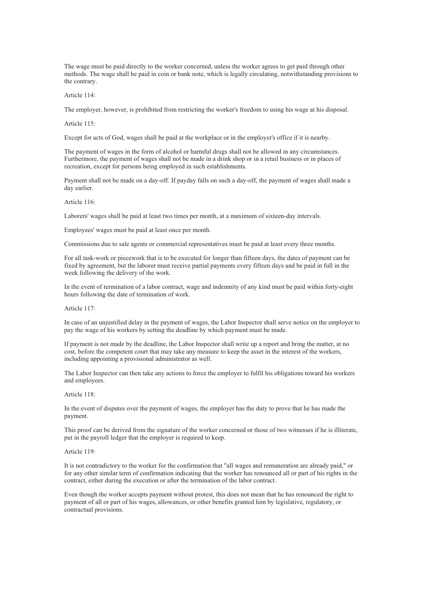The wage must be paid directly to the worker concerned, unless the worker agrees to get paid through other methods. The wage shall be paid in coin or bank note, which is legally circulating, notwithstanding provisions to the contrary.

#### Article 114:

The employer, however, is prohibited from restricting the worker's freedom to using his wage at his disposal.

#### Article 115:

Except for acts of God, wages shall be paid at the workplace or in the employer's office if it is nearby.

The payment of wages in the form of alcohol or harmful drugs shall not be allowed in any circumstances. Furthermore, the payment of wages shall not be made in a drink shop or in a retail business or in places of recreation, except for persons being employed in such establishments.

Payment shall not be made on a day-off. If payday falls on such a day-off, the payment of wages shall made a day earlier.

### Article 116:

Laborers' wages shall be paid at least two times per month, at a maximum of sixteen-day intervals.

Employees' wages must be paid at least once per month.

Commissions due to sale agents or commercial representatives must be paid at least every three months.

For all task-work or piecework that is to be executed for longer than fifteen days, the dates of payment can be fixed by agreement, but the laborer must receive partial payments every fifteen days and be paid in full in the week following the delivery of the work.

In the event of termination of a labor contract, wage and indemnity of any kind must be paid within forty-eight hours following the date of termination of work.

# Article 117:

In case of an unjustified delay in the payment of wages, the Labor Inspector shall serve notice on the employer to pay the wage of his workers by setting the deadline by which payment must be made.

If payment is not made by the deadline, the Labor Inspector shall write up a report and bring the matter, at no cost, before the competent court that may take any measure to keep the asset in the interest of the workers, including appointing a provisional administrator as well.

The Labor Inspector can then take any actions to force the employer to fulfil his obligations toward his workers and employees.

### Article 118:

In the event of disputes over the payment of wages, the employer has the duty to prove that he has made the payment.

This proof can be derived from the signature of the worker concerned or those of two witnesses if he is illiterate, put in the payroll ledger that the employer is required to keep.

#### Article 119:

It is not contradictory to the worker for the confirmation that "all wages and remuneration are already paid," or for any other similar term of confirmation indicating that the worker has renounced all or part of his rights in the contract, either during the execution or after the termination of the labor contract.

Even though the worker accepts payment without protest, this does not mean that he has renounced the right to payment of all or part of his wages, allowances, or other benefits granted him by legislative, regulatory, or contractual provisions.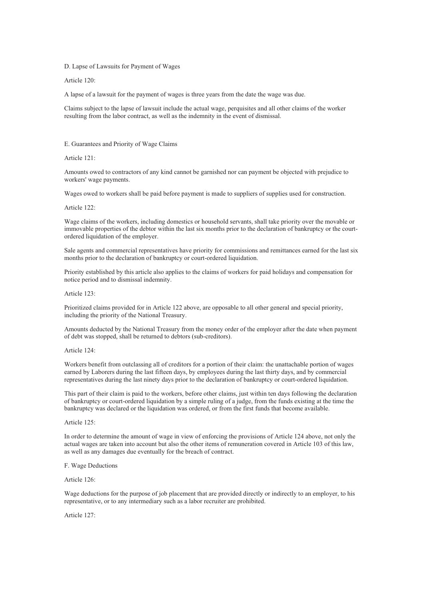D. Lapse of Lawsuits for Payment of Wages

Article 120:

A lapse of a lawsuit for the payment of wages is three years from the date the wage was due.

Claims subject to the lapse of lawsuit include the actual wage, perquisites and all other claims of the worker resulting from the labor contract, as well as the indemnity in the event of dismissal.

### E. Guarantees and Priority of Wage Claims

#### Article 121:

Amounts owed to contractors of any kind cannot be garnished nor can payment be objected with prejudice to workers' wage payments.

Wages owed to workers shall be paid before payment is made to suppliers of supplies used for construction.

#### Article 122:

Wage claims of the workers, including domestics or household servants, shall take priority over the movable or immovable properties of the debtor within the last six months prior to the declaration of bankruptcy or the courtordered liquidation of the employer.

Sale agents and commercial representatives have priority for commissions and remittances earned for the last six months prior to the declaration of bankruptcy or court-ordered liquidation.

Priority established by this article also applies to the claims of workers for paid holidays and compensation for notice period and to dismissal indemnity.

### Article 123:

Prioritized claims provided for in Article 122 above, are opposable to all other general and special priority, including the priority of the National Treasury.

Amounts deducted by the National Treasury from the money order of the employer after the date when payment of debt was stopped, shall be returned to debtors (sub-creditors).

# Article 124:

Workers benefit from outclassing all of creditors for a portion of their claim: the unattachable portion of wages earned by Laborers during the last fifteen days, by employees during the last thirty days, and by commercial representatives during the last ninety days prior to the declaration of bankruptcy or court-ordered liquidation.

This part of their claim is paid to the workers, before other claims, just within ten days following the declaration of bankruptcy or court-ordered liquidation by a simple ruling of a judge, from the funds existing at the time the bankruptcy was declared or the liquidation was ordered, or from the first funds that become available.

# Article 125:

In order to determine the amount of wage in view of enforcing the provisions of Article 124 above, not only the actual wages are taken into account but also the other items of remuneration covered in Article 103 of this law, as well as any damages due eventually for the breach of contract.

## F. Wage Deductions

# Article 126:

Wage deductions for the purpose of job placement that are provided directly or indirectly to an employer, to his representative, or to any intermediary such as a labor recruiter are prohibited.

Article 127: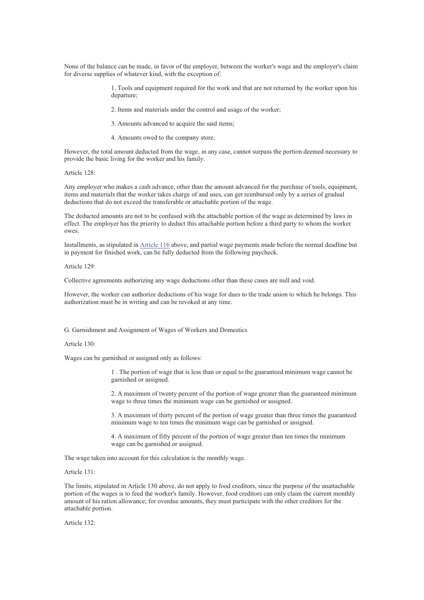None of the balance can be made, in favor of the employer, between the worker's wage and the employer's claim for diverse supplies of whatever kind, with the exception of:

> 1. Tools and equipment required for the work and that are not returned by the worker upon his departure;

2. Items and materials under the control and usage of the worker;

3. Amounts advanced to acquire the said items;

4. Amounts owed to the company store.

However, the total amount deducted from the wage, in any case, cannot surpass the portion deemed necessary to provide the basic living for the worker and his family.

Article 128:

Any employer who makes a cash advance, other than the amount advanced for the purchase of tools, equipment, items and materials that the worker takes charge of and uses, can get reimbursed only by a series of gradual deductions that do not exceed the transferable or attachable portion of the wage.

The deducted amounts are not to be confused with the attachable portion of the wage as determined by laws in effect. The employer has the priority to deduct this attachable portion before a third party to whom the worker owes.

Installments, as stipulated in Article 116 above, and partial wage payments made before the normal deadline but in payment for finished work, can be fully deducted from the following paycheck.

Article 129:

Collective agreements authorizing any wage deductions other than these cases are null and void.

However, the worker can authorize deductions of his wage for dues to the trade union to which he belongs. This authorization must be in writing and can be revoked at any time.

G. Garnishment and Assignment of Wages of Workers and Domestics

Article 130:

Wages can be garnished or assigned only as follows:

1 . The portion of wage that is less than or equal to the guaranteed minimum wage cannot be garnished or assigned.

2. A maximum of twenty percent of the portion of wage greater than the guaranteed minimum wage to three times the minimum wage can be garnished or assigned.

3. A maximum of thirty percent of the portion of wage greater than three times the guaranteed minimum wage to ten times the minimum wage can be garnished or assigned.

4. A maximum of fifty percent of the portion of wage greater than ten times the minimum wage can be garnished or assigned.

The wage taken into account for this calculation is the monthly wage.

Article 131:

The limits, stipulated in Article 130 above, do not apply to food creditors, since the purpose of the unattachable portion of the wages is to feed the worker's family. However, food creditors can only claim the current monthly amount of his ration allowance; for overdue amounts, they must participate with the other creditors for the attachable portion.

Article 132: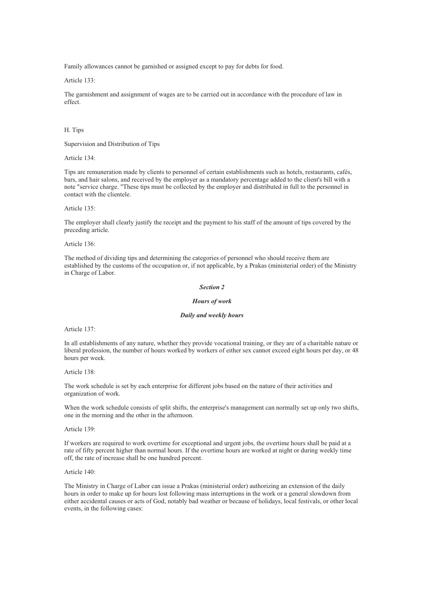Family allowances cannot be garnished or assigned except to pay for debts for food.

#### Article 133:

The garnishment and assignment of wages are to be carried out in accordance with the procedure of law in effect.

# H. Tips

Supervision and Distribution of Tips

Article 134:

Tips are remuneration made by clients to personnel of certain establishments such as hotels, restaurants, cafés, bars, and hair salons, and received by the employer as a mandatory percentage added to the client's bill with a note "service charge. "These tips must be collected by the employer and distributed in full to the personnel in contact with the clientele.

#### Article 135:

The employer shall clearly justify the receipt and the payment to his staff of the amount of tips covered by the preceding article.

#### Article 136:

The method of dividing tips and determining the categories of personnel who should receive them are established by the customs of the occupation or, if not applicable, by a Prakas (ministerial order) of the Ministry in Charge of Labor.

# *Section 2*

#### *Hours of work*

## *Daily and weekly hours*

Article 137:

In all establishments of any nature, whether they provide vocational training, or they are of a charitable nature or liberal profession, the number of hours worked by workers of either sex cannot exceed eight hours per day, or 48 hours per week.

## Article 138:

The work schedule is set by each enterprise for different jobs based on the nature of their activities and organization of work.

When the work schedule consists of split shifts, the enterprise's management can normally set up only two shifts, one in the morning and the other in the afternoon.

### Article 139:

If workers are required to work overtime for exceptional and urgent jobs, the overtime hours shall be paid at a rate of fifty percent higher than normal hours. If the overtime hours are worked at night or during weekly time off, the rate of increase shall be one hundred percent.

## Article 140:

The Ministry in Charge of Labor can issue a Prakas (ministerial order) authorizing an extension of the daily hours in order to make up for hours lost following mass interruptions in the work or a general slowdown from either accidental causes or acts of God, notably bad weather or because of holidays, local festivals, or other local events, in the following cases: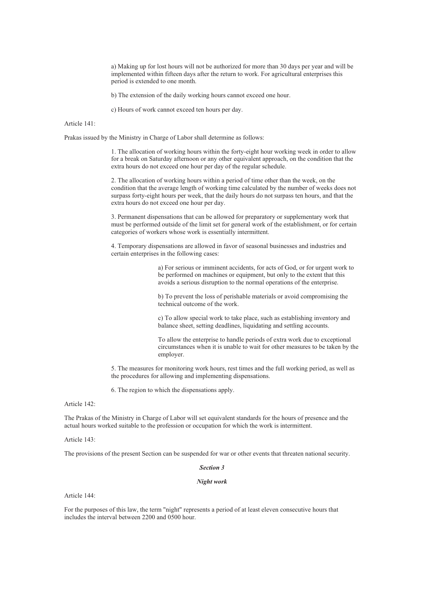a) Making up for lost hours will not be authorized for more than 30 days per year and will be implemented within fifteen days after the return to work. For agricultural enterprises this period is extended to one month.

b) The extension of the daily working hours cannot exceed one hour.

c) Hours of work cannot exceed ten hours per day.

# Article 141:

Prakas issued by the Ministry in Charge of Labor shall determine as follows:

1. The allocation of working hours within the forty-eight hour working week in order to allow for a break on Saturday afternoon or any other equivalent approach, on the condition that the extra hours do not exceed one hour per day of the regular schedule.

2. The allocation of working hours within a period of time other than the week, on the condition that the average length of working time calculated by the number of weeks does not surpass forty-eight hours per week, that the daily hours do not surpass ten hours, and that the extra hours do not exceed one hour per day.

3. Permanent dispensations that can be allowed for preparatory or supplementary work that must be performed outside of the limit set for general work of the establishment, or for certain categories of workers whose work is essentially intermittent.

4. Temporary dispensations are allowed in favor of seasonal businesses and industries and certain enterprises in the following cases:

> a) For serious or imminent accidents, for acts of God, or for urgent work to be performed on machines or equipment, but only to the extent that this avoids a serious disruption to the normal operations of the enterprise.

b) To prevent the loss of perishable materials or avoid compromising the technical outcome of the work.

c) To allow special work to take place, such as establishing inventory and balance sheet, setting deadlines, liquidating and settling accounts.

To allow the enterprise to handle periods of extra work due to exceptional circumstances when it is unable to wait for other measures to be taken by the employer.

5. The measures for monitoring work hours, rest times and the full working period, as well as the procedures for allowing and implementing dispensations.

6. The region to which the dispensations apply.

Article 142:

The Prakas of the Ministry in Charge of Labor will set equivalent standards for the hours of presence and the actual hours worked suitable to the profession or occupation for which the work is intermittent.

Article 143:

The provisions of the present Section can be suspended for war or other events that threaten national security.

#### *Section 3*

#### *Night work*

Article 144:

For the purposes of this law, the term "night" represents a period of at least eleven consecutive hours that includes the interval between 2200 and 0500 hour.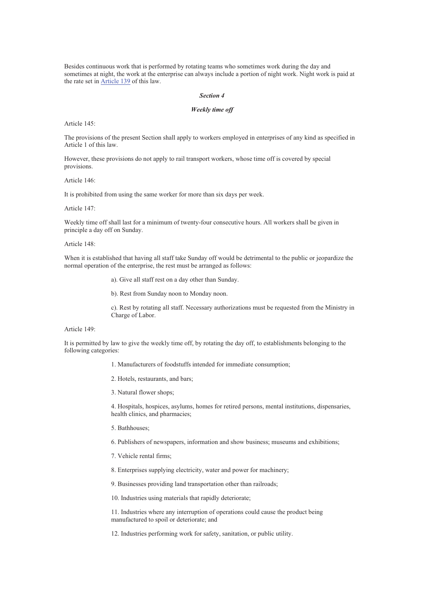Besides continuous work that is performed by rotating teams who sometimes work during the day and sometimes at night, the work at the enterprise can always include a portion of night work. Night work is paid at the rate set in Article 139 of this law.

## *Section 4*

### *Weekly time off*

Article 145:

The provisions of the present Section shall apply to workers employed in enterprises of any kind as specified in Article 1 of this law.

However, these provisions do not apply to rail transport workers, whose time off is covered by special provisions.

Article 146:

It is prohibited from using the same worker for more than six days per week.

Article 147:

Weekly time off shall last for a minimum of twenty-four consecutive hours. All workers shall be given in principle a day off on Sunday.

Article 148:

When it is established that having all staff take Sunday off would be detrimental to the public or jeopardize the normal operation of the enterprise, the rest must be arranged as follows:

a). Give all staff rest on a day other than Sunday.

b). Rest from Sunday noon to Monday noon.

c). Rest by rotating all staff. Necessary authorizations must be requested from the Ministry in Charge of Labor.

### Article 149:

It is permitted by law to give the weekly time off, by rotating the day off, to establishments belonging to the following categories:

1. Manufacturers of foodstuffs intended for immediate consumption;

- 2. Hotels, restaurants, and bars;
- 3. Natural flower shops;

4. Hospitals, hospices, asylums, homes for retired persons, mental institutions, dispensaries, health clinics, and pharmacies;

5. Bathhouses;

6. Publishers of newspapers, information and show business; museums and exhibitions;

7. Vehicle rental firms;

8. Enterprises supplying electricity, water and power for machinery;

9. Businesses providing land transportation other than railroads;

10. Industries using materials that rapidly deteriorate;

11. Industries where any interruption of operations could cause the product being manufactured to spoil or deteriorate; and

12. Industries performing work for safety, sanitation, or public utility.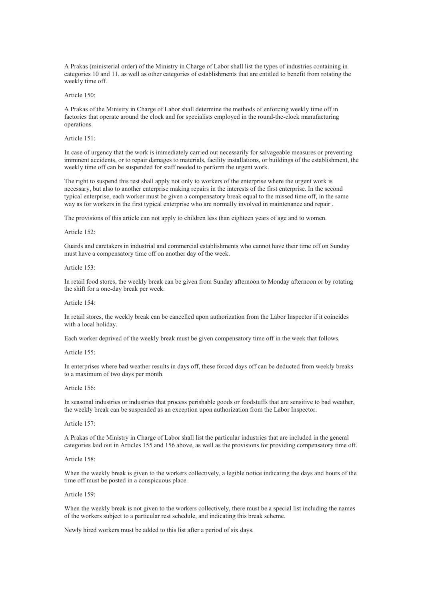A Prakas (ministerial order) of the Ministry in Charge of Labor shall list the types of industries containing in categories 10 and 11, as well as other categories of establishments that are entitled to benefit from rotating the weekly time off.

#### Article 150:

A Prakas of the Ministry in Charge of Labor shall determine the methods of enforcing weekly time off in factories that operate around the clock and for specialists employed in the round-the-clock manufacturing operations.

### Article 151:

In case of urgency that the work is immediately carried out necessarily for salvageable measures or preventing imminent accidents, or to repair damages to materials, facility installations, or buildings of the establishment, the weekly time off can be suspended for staff needed to perform the urgent work.

The right to suspend this rest shall apply not only to workers of the enterprise where the urgent work is necessary, but also to another enterprise making repairs in the interests of the first enterprise. In the second typical enterprise, each worker must be given a compensatory break equal to the missed time off, in the same way as for workers in the first typical enterprise who are normally involved in maintenance and repair .

The provisions of this article can not apply to children less than eighteen years of age and to women.

#### Article 152:

Guards and caretakers in industrial and commercial establishments who cannot have their time off on Sunday must have a compensatory time off on another day of the week.

Article 153:

In retail food stores, the weekly break can be given from Sunday afternoon to Monday afternoon or by rotating the shift for a one-day break per week.

# $Articl$ e 154 $\cdot$

In retail stores, the weekly break can be cancelled upon authorization from the Labor Inspector if it coincides with a local holiday.

Each worker deprived of the weekly break must be given compensatory time off in the week that follows.

### Article 155:

In enterprises where bad weather results in days off, these forced days off can be deducted from weekly breaks to a maximum of two days per month.

#### Article 156:

In seasonal industries or industries that process perishable goods or foodstuffs that are sensitive to bad weather, the weekly break can be suspended as an exception upon authorization from the Labor Inspector.

## Article 157:

A Prakas of the Ministry in Charge of Labor shall list the particular industries that are included in the general categories laid out in Articles 155 and 156 above, as well as the provisions for providing compensatory time off.

### Article 158:

When the weekly break is given to the workers collectively, a legible notice indicating the days and hours of the time off must be posted in a conspicuous place.

# Article 159:

When the weekly break is not given to the workers collectively, there must be a special list including the names of the workers subject to a particular rest schedule, and indicating this break scheme.

Newly hired workers must be added to this list after a period of six days.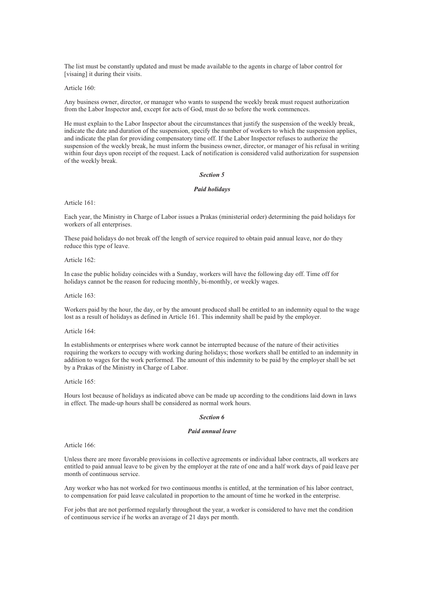The list must be constantly updated and must be made available to the agents in charge of labor control for [visaing] it during their visits.

#### Article 160:

Any business owner, director, or manager who wants to suspend the weekly break must request authorization from the Labor Inspector and, except for acts of God, must do so before the work commences.

He must explain to the Labor Inspector about the circumstances that justify the suspension of the weekly break, indicate the date and duration of the suspension, specify the number of workers to which the suspension applies, and indicate the plan for providing compensatory time off. If the Labor Inspector refuses to authorize the suspension of the weekly break, he must inform the business owner, director, or manager of his refusal in writing within four days upon receipt of the request. Lack of notification is considered valid authorization for suspension of the weekly break.

# *Section 5*

#### *Paid holidays*

Article 161:

Each year, the Ministry in Charge of Labor issues a Prakas (ministerial order) determining the paid holidays for workers of all enterprises.

These paid holidays do not break off the length of service required to obtain paid annual leave, nor do they reduce this type of leave.

Article 162:

In case the public holiday coincides with a Sunday, workers will have the following day off. Time off for holidays cannot be the reason for reducing monthly, bi-monthly, or weekly wages.

Article 163:

Workers paid by the hour, the day, or by the amount produced shall be entitled to an indemnity equal to the wage lost as a result of holidays as defined in Article 161. This indemnity shall be paid by the employer.

Article 164:

In establishments or enterprises where work cannot be interrupted because of the nature of their activities requiring the workers to occupy with working during holidays; those workers shall be entitled to an indemnity in addition to wages for the work performed. The amount of this indemnity to be paid by the employer shall be set by a Prakas of the Ministry in Charge of Labor.

Article 165:

Hours lost because of holidays as indicated above can be made up according to the conditions laid down in laws in effect. The made-up hours shall be considered as normal work hours.

## *Section 6*

#### *Paid annual leave*

Article 166:

Unless there are more favorable provisions in collective agreements or individual labor contracts, all workers are entitled to paid annual leave to be given by the employer at the rate of one and a half work days of paid leave per month of continuous service.

Any worker who has not worked for two continuous months is entitled, at the termination of his labor contract, to compensation for paid leave calculated in proportion to the amount of time he worked in the enterprise.

For jobs that are not performed regularly throughout the year, a worker is considered to have met the condition of continuous service if he works an average of 21 days per month.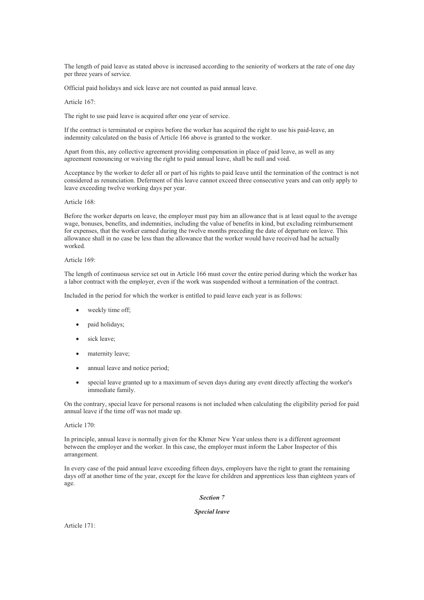The length of paid leave as stated above is increased according to the seniority of workers at the rate of one day per three years of service.

Official paid holidays and sick leave are not counted as paid annual leave.

Article 167:

The right to use paid leave is acquired after one year of service.

If the contract is terminated or expires before the worker has acquired the right to use his paid-leave, an indemnity calculated on the basis of Article 166 above is granted to the worker.

Apart from this, any collective agreement providing compensation in place of paid leave, as well as any agreement renouncing or waiving the right to paid annual leave, shall be null and void.

Acceptance by the worker to defer all or part of his rights to paid leave until the termination of the contract is not considered as renunciation. Deferment of this leave cannot exceed three consecutive years and can only apply to leave exceeding twelve working days per year.

Article 168:

Before the worker departs on leave, the employer must pay him an allowance that is at least equal to the average wage, bonuses, benefits, and indemnities, including the value of benefits in kind, but excluding reimbursement for expenses, that the worker earned during the twelve months preceding the date of departure on leave. This allowance shall in no case be less than the allowance that the worker would have received had he actually worked.

## Article 169:

The length of continuous service set out in Article 166 must cover the entire period during which the worker has a labor contract with the employer, even if the work was suspended without a termination of the contract.

Included in the period for which the worker is entitled to paid leave each year is as follows:

- weekly time off:
- paid holidays:
- sick leave;
- maternity leave;
- annual leave and notice period;
- ! special leave granted up to a maximum of seven days during any event directly affecting the worker's immediate family.

On the contrary, special leave for personal reasons is not included when calculating the eligibility period for paid annual leave if the time off was not made up.

Article 170:

In principle, annual leave is normally given for the Khmer New Year unless there is a different agreement between the employer and the worker. In this case, the employer must inform the Labor Inspector of this arrangement.

In every case of the paid annual leave exceeding fifteen days, employers have the right to grant the remaining days off at another time of the year, except for the leave for children and apprentices less than eighteen years of age.

## *Section 7*

# *Special leave*

Article 171: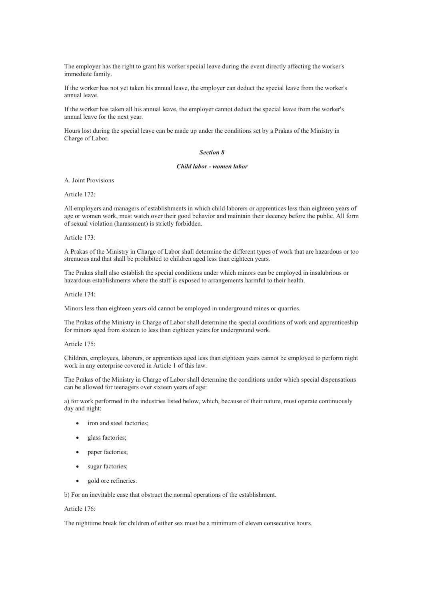The employer has the right to grant his worker special leave during the event directly affecting the worker's immediate family.

If the worker has not yet taken his annual leave, the employer can deduct the special leave from the worker's annual leave.

If the worker has taken all his annual leave, the employer cannot deduct the special leave from the worker's annual leave for the next year.

Hours lost during the special leave can be made up under the conditions set by a Prakas of the Ministry in Charge of Labor.

# *Section 8*

#### *Child labor - women labor*

A. Joint Provisions

Article 172:

All employers and managers of establishments in which child laborers or apprentices less than eighteen years of age or women work, must watch over their good behavior and maintain their decency before the public. All form of sexual violation (harassment) is strictly forbidden.

Article 173:

A Prakas of the Ministry in Charge of Labor shall determine the different types of work that are hazardous or too strenuous and that shall be prohibited to children aged less than eighteen years.

The Prakas shall also establish the special conditions under which minors can be employed in insalubrious or hazardous establishments where the staff is exposed to arrangements harmful to their health.

Article 174:

Minors less than eighteen years old cannot be employed in underground mines or quarries.

The Prakas of the Ministry in Charge of Labor shall determine the special conditions of work and apprenticeship for minors aged from sixteen to less than eighteen years for underground work.

Article 175:

Children, employees, laborers, or apprentices aged less than eighteen years cannot be employed to perform night work in any enterprise covered in Article 1 of this law.

The Prakas of the Ministry in Charge of Labor shall determine the conditions under which special dispensations can be allowed for teenagers over sixteen years of age:

a) for work performed in the industries listed below, which, because of their nature, must operate continuously day and night:

- iron and steel factories;
- glass factories;
- paper factories;
- sugar factories;
- gold ore refineries.

b) For an inevitable case that obstruct the normal operations of the establishment.

## Article 176:

The nighttime break for children of either sex must be a minimum of eleven consecutive hours.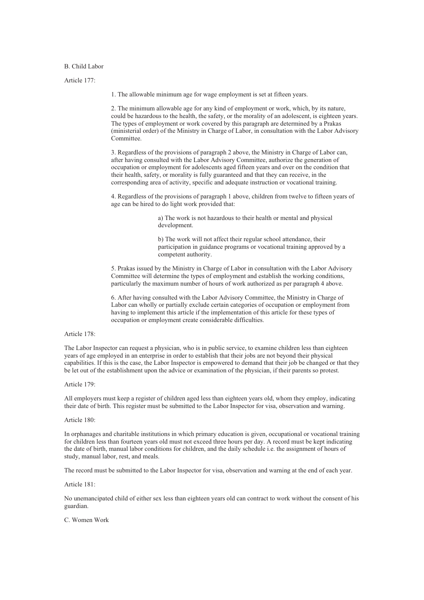# B. Child Labor

Article 177:

1. The allowable minimum age for wage employment is set at fifteen years.

2. The minimum allowable age for any kind of employment or work, which, by its nature, could be hazardous to the health, the safety, or the morality of an adolescent, is eighteen years. The types of employment or work covered by this paragraph are determined by a Prakas (ministerial order) of the Ministry in Charge of Labor, in consultation with the Labor Advisory Committee.

3. Regardless of the provisions of paragraph 2 above, the Ministry in Charge of Labor can, after having consulted with the Labor Advisory Committee, authorize the generation of occupation or employment for adolescents aged fifteen years and over on the condition that their health, safety, or morality is fully guaranteed and that they can receive, in the corresponding area of activity, specific and adequate instruction or vocational training.

4. Regardless of the provisions of paragraph 1 above, children from twelve to fifteen years of age can be hired to do light work provided that:

> a) The work is not hazardous to their health or mental and physical development.

b) The work will not affect their regular school attendance, their participation in guidance programs or vocational training approved by a competent authority.

5. Prakas issued by the Ministry in Charge of Labor in consultation with the Labor Advisory Committee will determine the types of employment and establish the working conditions, particularly the maximum number of hours of work authorized as per paragraph 4 above.

6. After having consulted with the Labor Advisory Committee, the Ministry in Charge of Labor can wholly or partially exclude certain categories of occupation or employment from having to implement this article if the implementation of this article for these types of occupation or employment create considerable difficulties.

# Article 178:

The Labor Inspector can request a physician, who is in public service, to examine children less than eighteen years of age employed in an enterprise in order to establish that their jobs are not beyond their physical capabilities. If this is the case, the Labor Inspector is empowered to demand that their job be changed or that they be let out of the establishment upon the advice or examination of the physician, if their parents so protest.

## Article 179:

All employers must keep a register of children aged less than eighteen years old, whom they employ, indicating their date of birth. This register must be submitted to the Labor Inspector for visa, observation and warning.

#### Article 180:

In orphanages and charitable institutions in which primary education is given, occupational or vocational training for children less than fourteen years old must not exceed three hours per day. A record must be kept indicating the date of birth, manual labor conditions for children, and the daily schedule i.e. the assignment of hours of study, manual labor, rest, and meals.

The record must be submitted to the Labor Inspector for visa, observation and warning at the end of each year.

#### Article 181:

No unemancipated child of either sex less than eighteen years old can contract to work without the consent of his guardian.

C. Women Work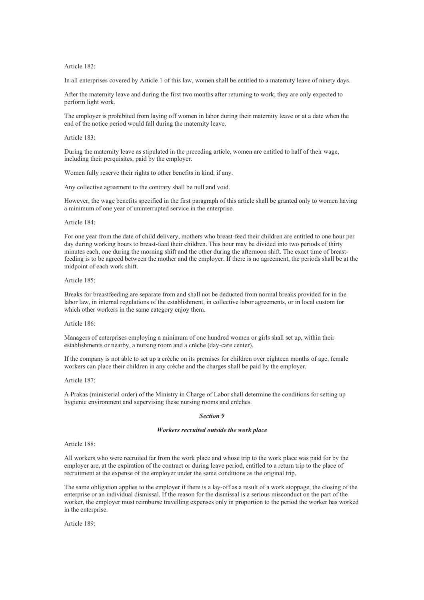Article 182:

In all enterprises covered by Article 1 of this law, women shall be entitled to a maternity leave of ninety days.

After the maternity leave and during the first two months after returning to work, they are only expected to perform light work.

The employer is prohibited from laying off women in labor during their maternity leave or at a date when the end of the notice period would fall during the maternity leave.

Article 183:

During the maternity leave as stipulated in the preceding article, women are entitled to half of their wage, including their perquisites, paid by the employer.

Women fully reserve their rights to other benefits in kind, if any.

Any collective agreement to the contrary shall be null and void.

However, the wage benefits specified in the first paragraph of this article shall be granted only to women having a minimum of one year of uninterrupted service in the enterprise.

Article 184:

For one year from the date of child delivery, mothers who breast-feed their children are entitled to one hour per day during working hours to breast-feed their children. This hour may be divided into two periods of thirty minutes each, one during the morning shift and the other during the afternoon shift. The exact time of breastfeeding is to be agreed between the mother and the employer. If there is no agreement, the periods shall be at the midpoint of each work shift.

Article 185:

Breaks for breastfeeding are separate from and shall not be deducted from normal breaks provided for in the labor law, in internal regulations of the establishment, in collective labor agreements, or in local custom for which other workers in the same category enjoy them.

Article 186:

Managers of enterprises employing a minimum of one hundred women or girls shall set up, within their establishments or nearby, a nursing room and a crèche (day-care center).

If the company is not able to set up a crèche on its premises for children over eighteen months of age, female workers can place their children in any crèche and the charges shall be paid by the employer.

Article 187:

A Prakas (ministerial order) of the Ministry in Charge of Labor shall determine the conditions for setting up hygienic environment and supervising these nursing rooms and crèches.

# *Section 9*

### *Workers recruited outside the work place*

Article 188:

All workers who were recruited far from the work place and whose trip to the work place was paid for by the employer are, at the expiration of the contract or during leave period, entitled to a return trip to the place of recruitment at the expense of the employer under the same conditions as the original trip.

The same obligation applies to the employer if there is a lay-off as a result of a work stoppage, the closing of the enterprise or an individual dismissal. If the reason for the dismissal is a serious misconduct on the part of the worker, the employer must reimburse travelling expenses only in proportion to the period the worker has worked in the enterprise.

Article 189: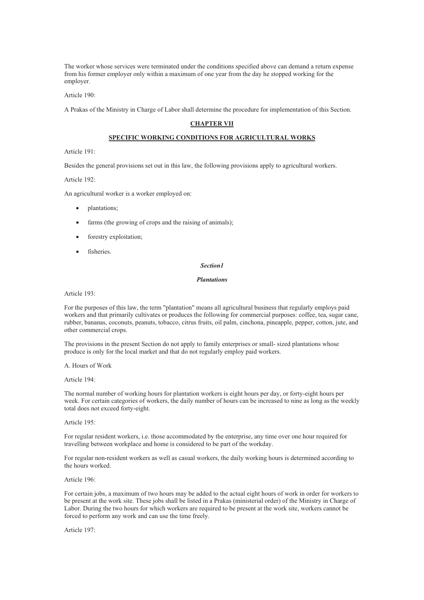The worker whose services were terminated under the conditions specified above can demand a return expense from his former employer only within a maximum of one year from the day he stopped working for the employer.

Article 190:

A Prakas of the Ministry in Charge of Labor shall determine the procedure for implementation of this Section.

# **CHAPTER VII**

## **SPECIFIC WORKING CONDITIONS FOR AGRICULTURAL WORKS**

Article 191:

Besides the general provisions set out in this law, the following provisions apply to agricultural workers.

Article 192:

An agricultural worker is a worker employed on:

- plantations;
- ! farms (the growing of crops and the raising of animals);
- forestry exploitation;
- fisheries.

#### *Section1*

#### *Plantations*

Article 193:

For the purposes of this law, the term "plantation" means all agricultural business that regularly employs paid workers and that primarily cultivates or produces the following for commercial purposes: coffee, tea, sugar cane, rubber, bananas, coconuts, peanuts, tobacco, citrus fruits, oil palm, cinchona, pineapple, pepper, cotton, jute, and other commercial crops.

The provisions in the present Section do not apply to family enterprises or small- sized plantations whose produce is only for the local market and that do not regularly employ paid workers.

A. Hours of Work

Article 194:

The normal number of working hours for plantation workers is eight hours per day, or forty-eight hours per week. For certain categories of workers, the daily number of hours can be increased to nine as long as the weekly total does not exceed forty-eight.

### Article 195:

For regular resident workers, i.e. those accommodated by the enterprise, any time over one hour required for travelling between workplace and home is considered to be part of the workday.

For regular non-resident workers as well as casual workers, the daily working hours is determined according to the hours worked.

Article 196:

For certain jobs, a maximum of two hours may be added to the actual eight hours of work in order for workers to be present at the work site. These jobs shall be listed in a Prakas (ministerial order) of the Ministry in Charge of Labor. During the two hours for which workers are required to be present at the work site, workers cannot be forced to perform any work and can use the time freely.

Article 197: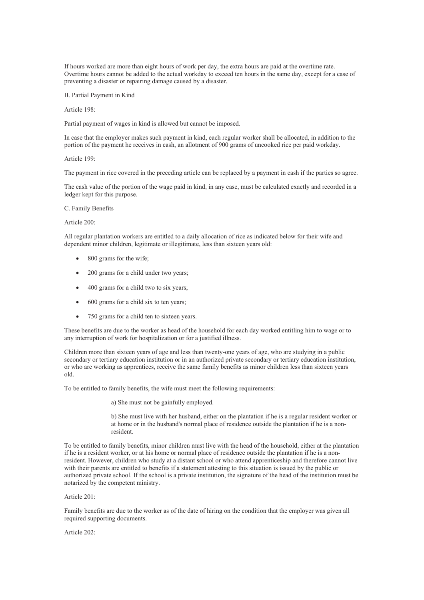If hours worked are more than eight hours of work per day, the extra hours are paid at the overtime rate. Overtime hours cannot be added to the actual workday to exceed ten hours in the same day, except for a case of preventing a disaster or repairing damage caused by a disaster.

B. Partial Payment in Kind

Article 198:

Partial payment of wages in kind is allowed but cannot be imposed.

In case that the employer makes such payment in kind, each regular worker shall be allocated, in addition to the portion of the payment he receives in cash, an allotment of 900 grams of uncooked rice per paid workday.

Article 199:

The payment in rice covered in the preceding article can be replaced by a payment in cash if the parties so agree.

The cash value of the portion of the wage paid in kind, in any case, must be calculated exactly and recorded in a ledger kept for this purpose.

C. Family Benefits

# Article 200:

All regular plantation workers are entitled to a daily allocation of rice as indicated below for their wife and dependent minor children, legitimate or illegitimate, less than sixteen years old:

- ! 800 grams for the wife;
- 200 grams for a child under two years;
- 400 grams for a child two to six years;
- 600 grams for a child six to ten years;
- 750 grams for a child ten to sixteen years.

These benefits are due to the worker as head of the household for each day worked entitling him to wage or to any interruption of work for hospitalization or for a justified illness.

Children more than sixteen years of age and less than twenty-one years of age, who are studying in a public secondary or tertiary education institution or in an authorized private secondary or tertiary education institution, or who are working as apprentices, receive the same family benefits as minor children less than sixteen years old.

To be entitled to family benefits, the wife must meet the following requirements:

a) She must not be gainfully employed.

b) She must live with her husband, either on the plantation if he is a regular resident worker or at home or in the husband's normal place of residence outside the plantation if he is a nonresident.

To be entitled to family benefits, minor children must live with the head of the household, either at the plantation if he is a resident worker, or at his home or normal place of residence outside the plantation if he is a nonresident. However, children who study at a distant school or who attend apprenticeship and therefore cannot live with their parents are entitled to benefits if a statement attesting to this situation is issued by the public or authorized private school. If the school is a private institution, the signature of the head of the institution must be notarized by the competent ministry.

# Article 201:

Family benefits are due to the worker as of the date of hiring on the condition that the employer was given all required supporting documents.

Article 202: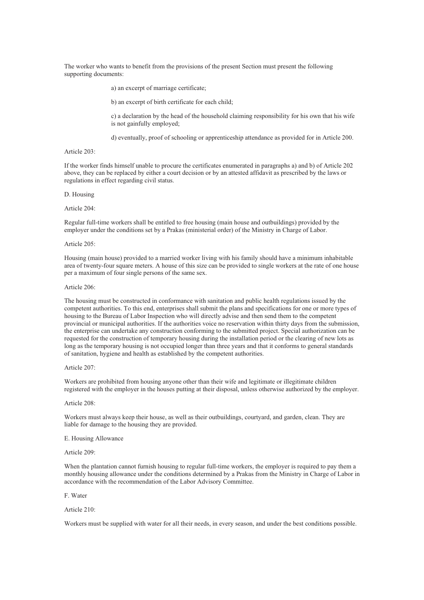The worker who wants to benefit from the provisions of the present Section must present the following supporting documents:

a) an excerpt of marriage certificate;

b) an excerpt of birth certificate for each child;

c) a declaration by the head of the household claiming responsibility for his own that his wife is not gainfully employed;

d) eventually, proof of schooling or apprenticeship attendance as provided for in Article 200.

### Article 203:

If the worker finds himself unable to procure the certificates enumerated in paragraphs a) and b) of Article 202 above, they can be replaced by either a court decision or by an attested affidavit as prescribed by the laws or regulations in effect regarding civil status.

D. Housing

# Article 204:

Regular full-time workers shall be entitled to free housing (main house and outbuildings) provided by the employer under the conditions set by a Prakas (ministerial order) of the Ministry in Charge of Labor.

#### Article 205:

Housing (main house) provided to a married worker living with his family should have a minimum inhabitable area of twenty-four square meters. A house of this size can be provided to single workers at the rate of one house per a maximum of four single persons of the same sex.

### $Articla 206$

The housing must be constructed in conformance with sanitation and public health regulations issued by the competent authorities. To this end, enterprises shall submit the plans and specifications for one or more types of housing to the Bureau of Labor Inspection who will directly advise and then send them to the competent provincial or municipal authorities. If the authorities voice no reservation within thirty days from the submission, the enterprise can undertake any construction conforming to the submitted project. Special authorization can be requested for the construction of temporary housing during the installation period or the clearing of new lots as long as the temporary housing is not occupied longer than three years and that it conforms to general standards of sanitation, hygiene and health as established by the competent authorities.

#### Article 207:

Workers are prohibited from housing anyone other than their wife and legitimate or illegitimate children registered with the employer in the houses putting at their disposal, unless otherwise authorized by the employer.

# Article 208:

Workers must always keep their house, as well as their outbuildings, courtyard, and garden, clean. They are liable for damage to the housing they are provided.

#### E. Housing Allowance

Article 209:

When the plantation cannot furnish housing to regular full-time workers, the employer is required to pay them a monthly housing allowance under the conditions determined by a Prakas from the Ministry in Charge of Labor in accordance with the recommendation of the Labor Advisory Committee.

F. Water

# Article 210:

Workers must be supplied with water for all their needs, in every season, and under the best conditions possible.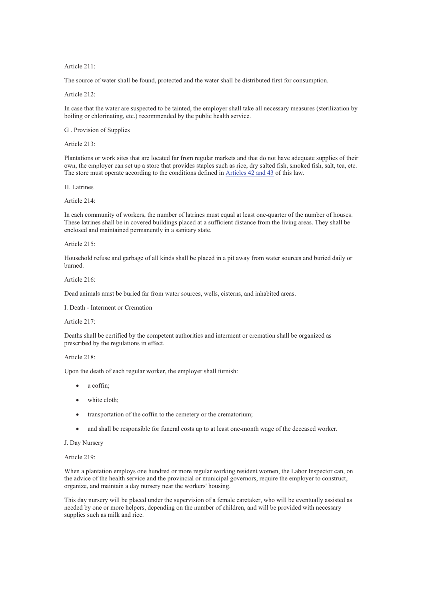# Article 211:

The source of water shall be found, protected and the water shall be distributed first for consumption.

#### Article 212:

In case that the water are suspected to be tainted, the employer shall take all necessary measures (sterilization by boiling or chlorinating, etc.) recommended by the public health service.

G . Provision of Supplies

Article 213:

Plantations or work sites that are located far from regular markets and that do not have adequate supplies of their own, the employer can set up a store that provides staples such as rice, dry salted fish, smoked fish, salt, tea, etc. The store must operate according to the conditions defined in Articles 42 and 43 of this law.

H. Latrines

#### Article 214:

In each community of workers, the number of latrines must equal at least one-quarter of the number of houses. These latrines shall be in covered buildings placed at a sufficient distance from the living areas. They shall be enclosed and maintained permanently in a sanitary state.

### Article 215:

Household refuse and garbage of all kinds shall be placed in a pit away from water sources and buried daily or burned.

## Article 216:

Dead animals must be buried far from water sources, wells, cisterns, and inhabited areas.

# I. Death - Interment or Cremation

Article 217:

Deaths shall be certified by the competent authorities and interment or cremation shall be organized as prescribed by the regulations in effect.

## Article 218:

Upon the death of each regular worker, the employer shall furnish:

- a coffin;
- white cloth;
- transportation of the coffin to the cemetery or the crematorium;
- ! and shall be responsible for funeral costs up to at least one-month wage of the deceased worker.

### J. Day Nursery

#### Article 219:

When a plantation employs one hundred or more regular working resident women, the Labor Inspector can, on the advice of the health service and the provincial or municipal governors, require the employer to construct, organize, and maintain a day nursery near the workers' housing.

This day nursery will be placed under the supervision of a female caretaker, who will be eventually assisted as needed by one or more helpers, depending on the number of children, and will be provided with necessary supplies such as milk and rice.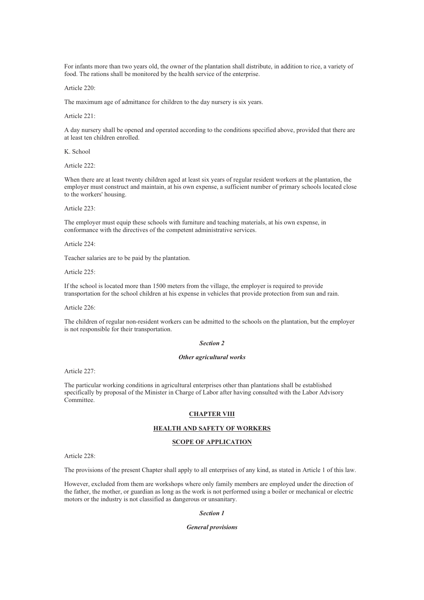For infants more than two years old, the owner of the plantation shall distribute, in addition to rice, a variety of food. The rations shall be monitored by the health service of the enterprise.

Article 220:

The maximum age of admittance for children to the day nursery is six years.

Article 221:

A day nursery shall be opened and operated according to the conditions specified above, provided that there are at least ten children enrolled.

K. School

Article 222:

When there are at least twenty children aged at least six years of regular resident workers at the plantation, the employer must construct and maintain, at his own expense, a sufficient number of primary schools located close to the workers' housing.

Article 223:

The employer must equip these schools with furniture and teaching materials, at his own expense, in conformance with the directives of the competent administrative services.

Article 224:

Teacher salaries are to be paid by the plantation.

Article 225:

If the school is located more than 1500 meters from the village, the employer is required to provide transportation for the school children at his expense in vehicles that provide protection from sun and rain.

Article 226:

The children of regular non-resident workers can be admitted to the schools on the plantation, but the employer is not responsible for their transportation.

### *Section 2*

### *Other agricultural works*

Article 227:

The particular working conditions in agricultural enterprises other than plantations shall be established specifically by proposal of the Minister in Charge of Labor after having consulted with the Labor Advisory Committee.

# **CHAPTER VIII**

# **HEALTH AND SAFETY OF WORKERS**

# **SCOPE OF APPLICATION**

Article 228:

The provisions of the present Chapter shall apply to all enterprises of any kind, as stated in Article 1 of this law.

However, excluded from them are workshops where only family members are employed under the direction of the father, the mother, or guardian as long as the work is not performed using a boiler or mechanical or electric motors or the industry is not classified as dangerous or unsanitary.

# *Section 1*

### *General provisions*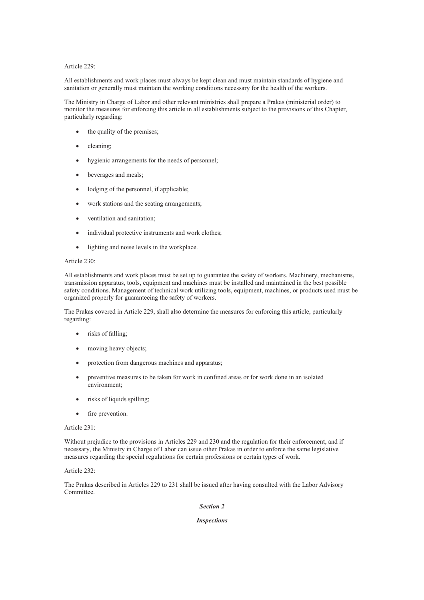# Article 229:

All establishments and work places must always be kept clean and must maintain standards of hygiene and sanitation or generally must maintain the working conditions necessary for the health of the workers.

The Ministry in Charge of Labor and other relevant ministries shall prepare a Prakas (ministerial order) to monitor the measures for enforcing this article in all establishments subject to the provisions of this Chapter, particularly regarding:

- the quality of the premises;
- cleaning;
- hygienic arrangements for the needs of personnel;
- beverages and meals;
- lodging of the personnel, if applicable;
- ! work stations and the seating arrangements;
- ventilation and sanitation;
- individual protective instruments and work clothes;
- lighting and noise levels in the workplace.

#### Article 230:

All establishments and work places must be set up to guarantee the safety of workers. Machinery, mechanisms, transmission apparatus, tools, equipment and machines must be installed and maintained in the best possible safety conditions. Management of technical work utilizing tools, equipment, machines, or products used must be organized properly for guaranteeing the safety of workers.

The Prakas covered in Article 229, shall also determine the measures for enforcing this article, particularly regarding:

- risks of falling;
- moving heavy objects;
- protection from dangerous machines and apparatus;
- ! preventive measures to be taken for work in confined areas or for work done in an isolated environment;
- risks of liquids spilling;
- fire prevention.

### Article 231:

Without prejudice to the provisions in Articles 229 and 230 and the regulation for their enforcement, and if necessary, the Ministry in Charge of Labor can issue other Prakas in order to enforce the same legislative measures regarding the special regulations for certain professions or certain types of work.

### Article 232:

The Prakas described in Articles 229 to 231 shall be issued after having consulted with the Labor Advisory Committee.

*Section 2* 

# *Inspections*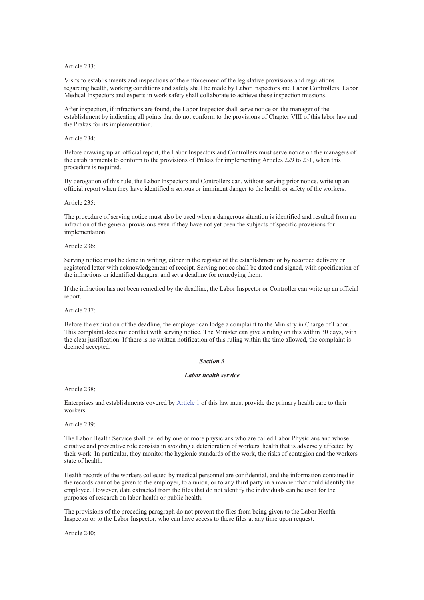# Article 233:

Visits to establishments and inspections of the enforcement of the legislative provisions and regulations regarding health, working conditions and safety shall be made by Labor Inspectors and Labor Controllers. Labor Medical Inspectors and experts in work safety shall collaborate to achieve these inspection missions.

After inspection, if infractions are found, the Labor Inspector shall serve notice on the manager of the establishment by indicating all points that do not conform to the provisions of Chapter VIII of this labor law and the Prakas for its implementation.

#### Article 234:

Before drawing up an official report, the Labor Inspectors and Controllers must serve notice on the managers of the establishments to conform to the provisions of Prakas for implementing Articles 229 to 231, when this procedure is required.

By derogation of this rule, the Labor Inspectors and Controllers can, without serving prior notice, write up an official report when they have identified a serious or imminent danger to the health or safety of the workers.

### Article 235:

The procedure of serving notice must also be used when a dangerous situation is identified and resulted from an infraction of the general provisions even if they have not yet been the subjects of specific provisions for implementation.

#### Article 236:

Serving notice must be done in writing, either in the register of the establishment or by recorded delivery or registered letter with acknowledgement of receipt. Serving notice shall be dated and signed, with specification of the infractions or identified dangers, and set a deadline for remedying them.

If the infraction has not been remedied by the deadline, the Labor Inspector or Controller can write up an official report.

Article 237:

Before the expiration of the deadline, the employer can lodge a complaint to the Ministry in Charge of Labor. This complaint does not conflict with serving notice. The Minister can give a ruling on this within 30 days, with the clear justification. If there is no written notification of this ruling within the time allowed, the complaint is deemed accepted.

#### *Section 3*

## *Labor health service*

Article 238:

Enterprises and establishments covered by Article 1 of this law must provide the primary health care to their workers.

Article 239:

The Labor Health Service shall be led by one or more physicians who are called Labor Physicians and whose curative and preventive role consists in avoiding a deterioration of workers' health that is adversely affected by their work. In particular, they monitor the hygienic standards of the work, the risks of contagion and the workers' state of health.

Health records of the workers collected by medical personnel are confidential, and the information contained in the records cannot be given to the employer, to a union, or to any third party in a manner that could identify the employee. However, data extracted from the files that do not identify the individuals can be used for the purposes of research on labor health or public health.

The provisions of the preceding paragraph do not prevent the files from being given to the Labor Health Inspector or to the Labor Inspector, who can have access to these files at any time upon request.

Article 240: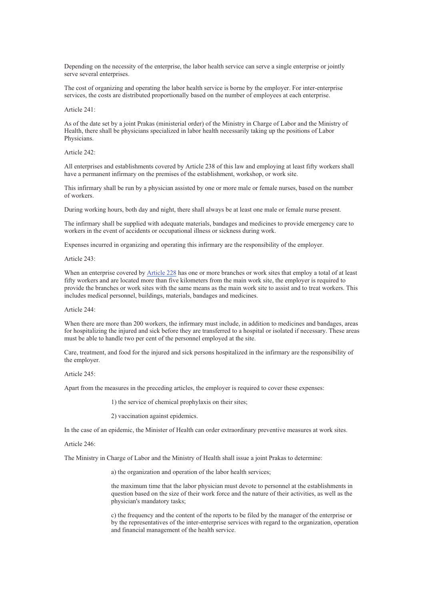Depending on the necessity of the enterprise, the labor health service can serve a single enterprise or jointly serve several enterprises.

The cost of organizing and operating the labor health service is borne by the employer. For inter-enterprise services, the costs are distributed proportionally based on the number of employees at each enterprise.

#### Article 241:

As of the date set by a joint Prakas (ministerial order) of the Ministry in Charge of Labor and the Ministry of Health, there shall be physicians specialized in labor health necessarily taking up the positions of Labor Physicians.

# Article 242:

All enterprises and establishments covered by Article 238 of this law and employing at least fifty workers shall have a permanent infirmary on the premises of the establishment, workshop, or work site.

This infirmary shall be run by a physician assisted by one or more male or female nurses, based on the number of workers.

During working hours, both day and night, there shall always be at least one male or female nurse present.

The infirmary shall be supplied with adequate materials, bandages and medicines to provide emergency care to workers in the event of accidents or occupational illness or sickness during work.

Expenses incurred in organizing and operating this infirmary are the responsibility of the employer.

#### Article 243:

When an enterprise covered by **Article 228** has one or more branches or work sites that employ a total of at least fifty workers and are located more than five kilometers from the main work site, the employer is required to provide the branches or work sites with the same means as the main work site to assist and to treat workers. This includes medical personnel, buildings, materials, bandages and medicines.

#### Article 244:

When there are more than 200 workers, the infirmary must include, in addition to medicines and bandages, areas for hospitalizing the injured and sick before they are transferred to a hospital or isolated if necessary. These areas must be able to handle two per cent of the personnel employed at the site.

Care, treatment, and food for the injured and sick persons hospitalized in the infirmary are the responsibility of the employer.

Article 245:

Apart from the measures in the preceding articles, the employer is required to cover these expenses:

1) the service of chemical prophylaxis on their sites;

2) vaccination against epidemics.

In the case of an epidemic, the Minister of Health can order extraordinary preventive measures at work sites.

# Article 246:

The Ministry in Charge of Labor and the Ministry of Health shall issue a joint Prakas to determine:

a) the organization and operation of the labor health services;

the maximum time that the labor physician must devote to personnel at the establishments in question based on the size of their work force and the nature of their activities, as well as the physician's mandatory tasks;

c) the frequency and the content of the reports to be filed by the manager of the enterprise or by the representatives of the inter-enterprise services with regard to the organization, operation and financial management of the health service.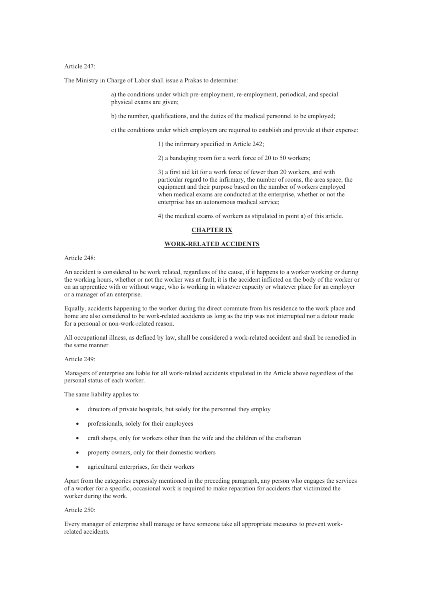Article 247:

The Ministry in Charge of Labor shall issue a Prakas to determine:

a) the conditions under which pre-employment, re-employment, periodical, and special physical exams are given;

b) the number, qualifications, and the duties of the medical personnel to be employed;

c) the conditions under which employers are required to establish and provide at their expense:

1) the infirmary specified in Article 242;

2) a bandaging room for a work force of 20 to 50 workers;

3) a first aid kit for a work force of fewer than 20 workers, and with particular regard to the infirmary, the number of rooms, the area space, the equipment and their purpose based on the number of workers employed when medical exams are conducted at the enterprise, whether or not the enterprise has an autonomous medical service;

4) the medical exams of workers as stipulated in point a) of this article.

# **CHAPTER IX**

#### **WORK-RELATED ACCIDENTS**

### Article 248:

An accident is considered to be work related, regardless of the cause, if it happens to a worker working or during the working hours, whether or not the worker was at fault; it is the accident inflicted on the body of the worker or on an apprentice with or without wage, who is working in whatever capacity or whatever place for an employer or a manager of an enterprise.

Equally, accidents happening to the worker during the direct commute from his residence to the work place and home are also considered to be work-related accidents as long as the trip was not interrupted nor a detour made for a personal or non-work-related reason.

All occupational illness, as defined by law, shall be considered a work-related accident and shall be remedied in the same manner.

### Article 249:

Managers of enterprise are liable for all work-related accidents stipulated in the Article above regardless of the personal status of each worker.

The same liability applies to:

- ! directors of private hospitals, but solely for the personnel they employ
- professionals, solely for their employees
- ! craft shops, only for workers other than the wife and the children of the craftsman
- ! property owners, only for their domestic workers
- ! agricultural enterprises, for their workers

Apart from the categories expressly mentioned in the preceding paragraph, any person who engages the services of a worker for a specific, occasional work is required to make reparation for accidents that victimized the worker during the work.

#### Article 250:

Every manager of enterprise shall manage or have someone take all appropriate measures to prevent workrelated accidents.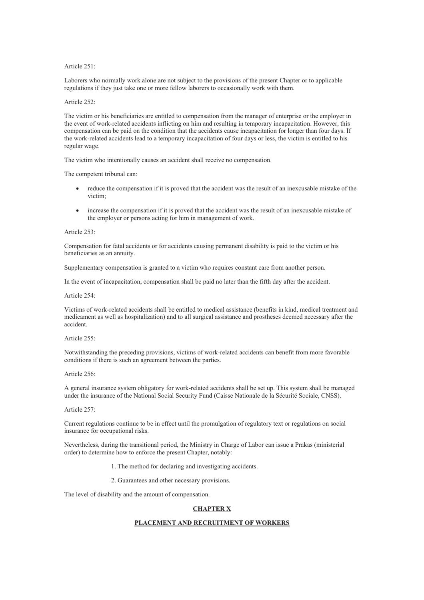### Article 251:

Laborers who normally work alone are not subject to the provisions of the present Chapter or to applicable regulations if they just take one or more fellow laborers to occasionally work with them.

### Article 252:

The victim or his beneficiaries are entitled to compensation from the manager of enterprise or the employer in the event of work-related accidents inflicting on him and resulting in temporary incapacitation. However, this compensation can be paid on the condition that the accidents cause incapacitation for longer than four days. If the work-related accidents lead to a temporary incapacitation of four days or less, the victim is entitled to his regular wage.

The victim who intentionally causes an accident shall receive no compensation.

The competent tribunal can:

- ! reduce the compensation if it is proved that the accident was the result of an inexcusable mistake of the victim;
- increase the compensation if it is proved that the accident was the result of an inexcusable mistake of the employer or persons acting for him in management of work.

### Article 253:

Compensation for fatal accidents or for accidents causing permanent disability is paid to the victim or his beneficiaries as an annuity.

Supplementary compensation is granted to a victim who requires constant care from another person.

In the event of incapacitation, compensation shall be paid no later than the fifth day after the accident.

# Article 254:

Victims of work-related accidents shall be entitled to medical assistance (benefits in kind, medical treatment and medicament as well as hospitalization) and to all surgical assistance and prostheses deemed necessary after the accident.

# Article 255:

Notwithstanding the preceding provisions, victims of work-related accidents can benefit from more favorable conditions if there is such an agreement between the parties.

### Article 256:

A general insurance system obligatory for work-related accidents shall be set up. This system shall be managed under the insurance of the National Social Security Fund (Caisse Nationale de la Sécurité Sociale, CNSS).

### Article 257:

Current regulations continue to be in effect until the promulgation of regulatory text or regulations on social insurance for occupational risks.

Nevertheless, during the transitional period, the Ministry in Charge of Labor can issue a Prakas (ministerial order) to determine how to enforce the present Chapter, notably:

1. The method for declaring and investigating accidents.

2. Guarantees and other necessary provisions.

The level of disability and the amount of compensation.

# **CHAPTER X**

# **PLACEMENT AND RECRUITMENT OF WORKERS**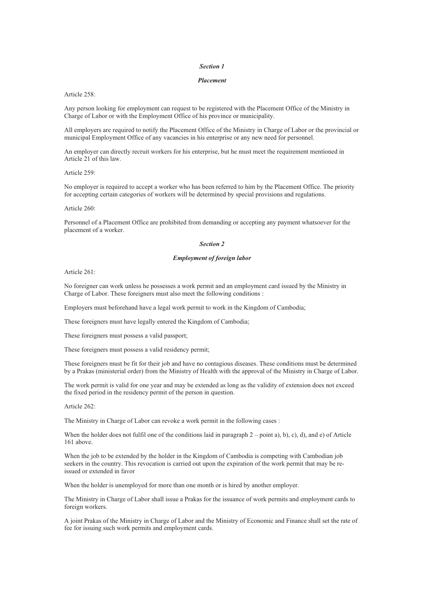## *Section 1*

#### *Placement*

Article 258:

Any person looking for employment can request to be registered with the Placement Office of the Ministry in Charge of Labor or with the Employment Office of his province or municipality.

All employers are required to notify the Placement Office of the Ministry in Charge of Labor or the provincial or municipal Employment Office of any vacancies in his enterprise or any new need for personnel.

An employer can directly recruit workers for his enterprise, but he must meet the requirement mentioned in Article 21 of this law.

Article 259:

No employer is required to accept a worker who has been referred to him by the Placement Office. The priority for accepting certain categories of workers will be determined by special provisions and regulations.

Article 260:

Personnel of a Placement Office are prohibited from demanding or accepting any payment whatsoever for the placement of a worker.

### *Section 2*

### *Employment of foreign labor*

Article 261:

No foreigner can work unless he possesses a work permit and an employment card issued by the Ministry in Charge of Labor. These foreigners must also meet the following conditions :

Employers must beforehand have a legal work permit to work in the Kingdom of Cambodia;

These foreigners must have legally entered the Kingdom of Cambodia;

These foreigners must possess a valid passport;

These foreigners must possess a valid residency permit;

These foreigners must be fit for their job and have no contagious diseases. These conditions must be determined by a Prakas (ministerial order) from the Ministry of Health with the approval of the Ministry in Charge of Labor.

The work permit is valid for one year and may be extended as long as the validity of extension does not exceed the fixed period in the residency permit of the person in question.

Article 262:

The Ministry in Charge of Labor can revoke a work permit in the following cases :

When the holder does not fulfil one of the conditions laid in paragraph  $2 - point a$ , b), c), d), and e) of Article 161 above.

When the job to be extended by the holder in the Kingdom of Cambodia is competing with Cambodian job seekers in the country. This revocation is carried out upon the expiration of the work permit that may be reissued or extended in favor

When the holder is unemployed for more than one month or is hired by another employer.

The Ministry in Charge of Labor shall issue a Prakas for the issuance of work permits and employment cards to foreign workers.

A joint Prakas of the Ministry in Charge of Labor and the Ministry of Economic and Finance shall set the rate of fee for issuing such work permits and employment cards.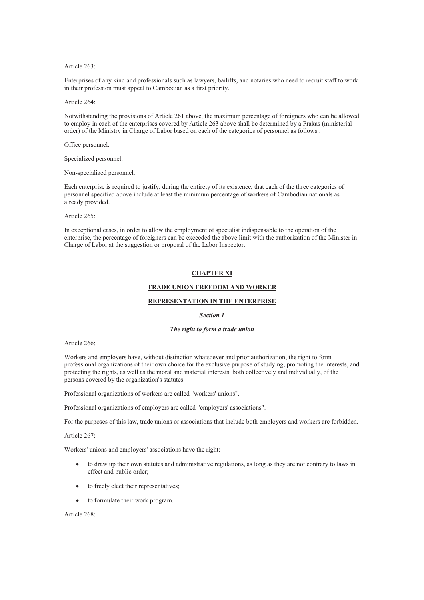Article 263:

Enterprises of any kind and professionals such as lawyers, bailiffs, and notaries who need to recruit staff to work in their profession must appeal to Cambodian as a first priority.

Article 264:

Notwithstanding the provisions of Article 261 above, the maximum percentage of foreigners who can be allowed to employ in each of the enterprises covered by Article 263 above shall be determined by a Prakas (ministerial order) of the Ministry in Charge of Labor based on each of the categories of personnel as follows :

Office personnel.

Specialized personnel.

Non-specialized personnel.

Each enterprise is required to justify, during the entirety of its existence, that each of the three categories of personnel specified above include at least the minimum percentage of workers of Cambodian nationals as already provided.

Article 265:

In exceptional cases, in order to allow the employment of specialist indispensable to the operation of the enterprise, the percentage of foreigners can be exceeded the above limit with the authorization of the Minister in Charge of Labor at the suggestion or proposal of the Labor Inspector.

## **CHAPTER XI**

# **TRADE UNION FREEDOM AND WORKER**

#### **REPRESENTATION IN THE ENTERPRISE**

#### *Section 1*

#### *The right to form a trade union*

Article 266:

Workers and employers have, without distinction whatsoever and prior authorization, the right to form professional organizations of their own choice for the exclusive purpose of studying, promoting the interests, and protecting the rights, as well as the moral and material interests, both collectively and individually, of the persons covered by the organization's statutes.

Professional organizations of workers are called "workers' unions".

Professional organizations of employers are called "employers' associations".

For the purposes of this law, trade unions or associations that include both employers and workers are forbidden.

Article 267:

Workers' unions and employers' associations have the right:

- ! to draw up their own statutes and administrative regulations, as long as they are not contrary to laws in effect and public order;
- to freely elect their representatives;
- to formulate their work program.

Article 268: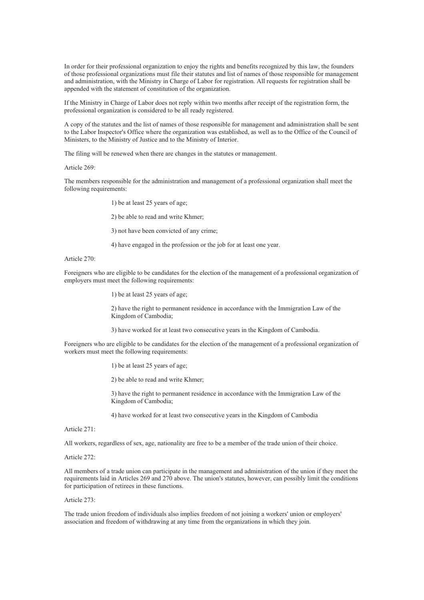In order for their professional organization to enjoy the rights and benefits recognized by this law, the founders of those professional organizations must file their statutes and list of names of those responsible for management and administration, with the Ministry in Charge of Labor for registration. All requests for registration shall be appended with the statement of constitution of the organization.

If the Ministry in Charge of Labor does not reply within two months after receipt of the registration form, the professional organization is considered to be all ready registered.

A copy of the statutes and the list of names of those responsible for management and administration shall be sent to the Labor Inspector's Office where the organization was established, as well as to the Office of the Council of Ministers, to the Ministry of Justice and to the Ministry of Interior.

The filing will be renewed when there are changes in the statutes or management.

Article 269:

The members responsible for the administration and management of a professional organization shall meet the following requirements:

1) be at least 25 years of age;

2) be able to read and write Khmer;

3) not have been convicted of any crime;

4) have engaged in the profession or the job for at least one year.

Article 270:

Foreigners who are eligible to be candidates for the election of the management of a professional organization of employers must meet the following requirements:

1) be at least 25 years of age;

2) have the right to permanent residence in accordance with the Immigration Law of the Kingdom of Cambodia;

3) have worked for at least two consecutive years in the Kingdom of Cambodia.

Foreigners who are eligible to be candidates for the election of the management of a professional organization of workers must meet the following requirements:

1) be at least 25 years of age;

2) be able to read and write Khmer;

3) have the right to permanent residence in accordance with the Immigration Law of the Kingdom of Cambodia;

4) have worked for at least two consecutive years in the Kingdom of Cambodia

Article 271:

All workers, regardless of sex, age, nationality are free to be a member of the trade union of their choice.

Article 272:

All members of a trade union can participate in the management and administration of the union if they meet the requirements laid in Articles 269 and 270 above. The union's statutes, however, can possibly limit the conditions for participation of retirees in these functions.

## Article 273:

The trade union freedom of individuals also implies freedom of not joining a workers' union or employers' association and freedom of withdrawing at any time from the organizations in which they join.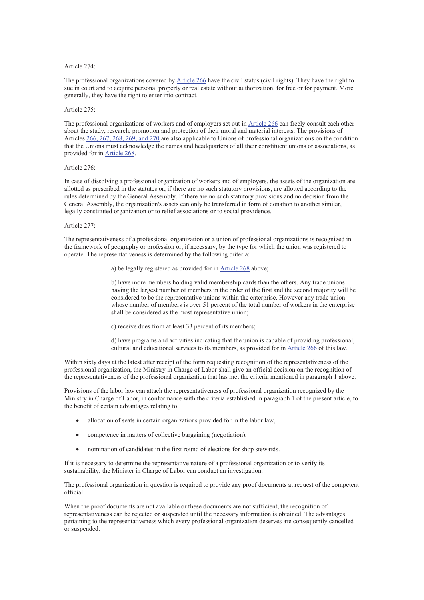# Article 274:

The professional organizations covered by  $\triangle$ rticle 266 have the civil status (civil rights). They have the right to sue in court and to acquire personal property or real estate without authorization, for free or for payment. More generally, they have the right to enter into contract.

### Article 275:

The professional organizations of workers and of employers set out in Article 266 can freely consult each other about the study, research, promotion and protection of their moral and material interests. The provisions of Articles 266, 267, 268, 269, and 270 are also applicable to Unions of professional organizations on the condition that the Unions must acknowledge the names and headquarters of all their constituent unions or associations, as provided for in Article 268.

## Article 276:

In case of dissolving a professional organization of workers and of employers, the assets of the organization are allotted as prescribed in the statutes or, if there are no such statutory provisions, are allotted according to the rules determined by the General Assembly. If there are no such statutory provisions and no decision from the General Assembly, the organization's assets can only be transferred in form of donation to another similar, legally constituted organization or to relief associations or to social providence.

#### Article 277:

The representativeness of a professional organization or a union of professional organizations is recognized in the framework of geography or profession or, if necessary, by the type for which the union was registered to operate. The representativeness is determined by the following criteria:

a) be legally registered as provided for in Article 268 above;

b) have more members holding valid membership cards than the others. Any trade unions having the largest number of members in the order of the first and the second majority will be considered to be the representative unions within the enterprise. However any trade union whose number of members is over 51 percent of the total number of workers in the enterprise shall be considered as the most representative union;

c) receive dues from at least 33 percent of its members;

d) have programs and activities indicating that the union is capable of providing professional, cultural and educational services to its members, as provided for in Article 266 of this law.

Within sixty days at the latest after receipt of the form requesting recognition of the representativeness of the professional organization, the Ministry in Charge of Labor shall give an official decision on the recognition of the representativeness of the professional organization that has met the criteria mentioned in paragraph 1 above.

Provisions of the labor law can attach the representativeness of professional organization recognized by the Ministry in Charge of Labor, in conformance with the criteria established in paragraph 1 of the present article, to the benefit of certain advantages relating to:

- ! allocation of seats in certain organizations provided for in the labor law,
- competence in matters of collective bargaining (negotiation),
- nomination of candidates in the first round of elections for shop stewards.

If it is necessary to determine the representative nature of a professional organization or to verify its sustainability, the Minister in Charge of Labor can conduct an investigation.

The professional organization in question is required to provide any proof documents at request of the competent official.

When the proof documents are not available or these documents are not sufficient, the recognition of representativeness can be rejected or suspended until the necessary information is obtained. The advantages pertaining to the representativeness which every professional organization deserves are consequently cancelled or suspended.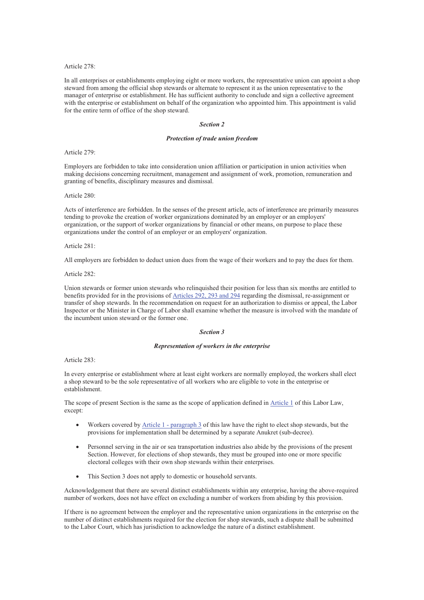## Article 278:

In all enterprises or establishments employing eight or more workers, the representative union can appoint a shop steward from among the official shop stewards or alternate to represent it as the union representative to the manager of enterprise or establishment. He has sufficient authority to conclude and sign a collective agreement with the enterprise or establishment on behalf of the organization who appointed him. This appointment is valid for the entire term of office of the shop steward.

## *Section 2*

# *Protection of trade union freedom*

Article 279:

Employers are forbidden to take into consideration union affiliation or participation in union activities when making decisions concerning recruitment, management and assignment of work, promotion, remuneration and granting of benefits, disciplinary measures and dismissal.

#### Article 280:

Acts of interference are forbidden. In the senses of the present article, acts of interference are primarily measures tending to provoke the creation of worker organizations dominated by an employer or an employers' organization, or the support of worker organizations by financial or other means, on purpose to place these organizations under the control of an employer or an employers' organization.

#### Article 281:

All employers are forbidden to deduct union dues from the wage of their workers and to pay the dues for them.

Article 282:

Union stewards or former union stewards who relinquished their position for less than six months are entitled to benefits provided for in the provisions of Articles 292, 293 and 294 regarding the dismissal, re-assignment or transfer of shop stewards. In the recommendation on request for an authorization to dismiss or appeal, the Labor Inspector or the Minister in Charge of Labor shall examine whether the measure is involved with the mandate of the incumbent union steward or the former one.

# *Section 3*

### *Representation of workers in the enterprise*

Article 283:

In every enterprise or establishment where at least eight workers are normally employed, the workers shall elect a shop steward to be the sole representative of all workers who are eligible to vote in the enterprise or establishment.

The scope of present Section is the same as the scope of application defined in Article 1 of this Labor Law, except:

- Workers covered by  $\triangle$  Article 1 paragraph 3 of this law have the right to elect shop stewards, but the provisions for implementation shall be determined by a separate Anukret (sub-decree).
- ! Personnel serving in the air or sea transportation industries also abide by the provisions of the present Section. However, for elections of shop stewards, they must be grouped into one or more specific electoral colleges with their own shop stewards within their enterprises.
- ! This Section 3 does not apply to domestic or household servants.

Acknowledgement that there are several distinct establishments within any enterprise, having the above-required number of workers, does not have effect on excluding a number of workers from abiding by this provision.

If there is no agreement between the employer and the representative union organizations in the enterprise on the number of distinct establishments required for the election for shop stewards, such a dispute shall be submitted to the Labor Court, which has jurisdiction to acknowledge the nature of a distinct establishment.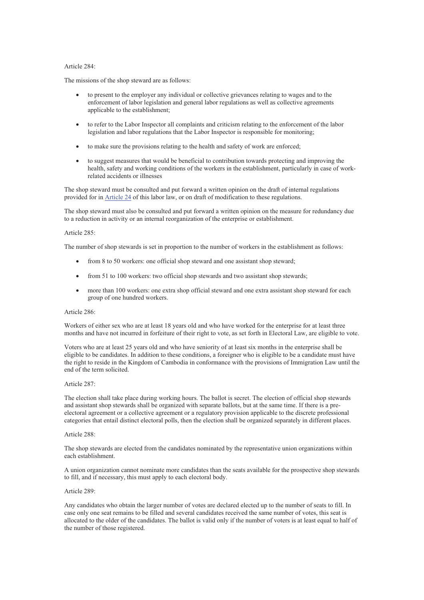# Article 284:

The missions of the shop steward are as follows:

- ! to present to the employer any individual or collective grievances relating to wages and to the enforcement of labor legislation and general labor regulations as well as collective agreements applicable to the establishment;
- ! to refer to the Labor Inspector all complaints and criticism relating to the enforcement of the labor legislation and labor regulations that the Labor Inspector is responsible for monitoring;
- to make sure the provisions relating to the health and safety of work are enforced;
- to suggest measures that would be beneficial to contribution towards protecting and improving the health, safety and working conditions of the workers in the establishment, particularly in case of workrelated accidents or illnesses

The shop steward must be consulted and put forward a written opinion on the draft of internal regulations provided for in Article 24 of this labor law, or on draft of modification to these regulations.

The shop steward must also be consulted and put forward a written opinion on the measure for redundancy due to a reduction in activity or an internal reorganization of the enterprise or establishment.

# Article 285:

The number of shop stewards is set in proportion to the number of workers in the establishment as follows:

- from 8 to 50 workers: one official shop steward and one assistant shop steward;
- from 51 to 100 workers: two official shop stewards and two assistant shop stewards;
- more than 100 workers: one extra shop official steward and one extra assistant shop steward for each group of one hundred workers.

#### Article 286:

Workers of either sex who are at least 18 years old and who have worked for the enterprise for at least three months and have not incurred in forfeiture of their right to vote, as set forth in Electoral Law, are eligible to vote.

Voters who are at least 25 years old and who have seniority of at least six months in the enterprise shall be eligible to be candidates. In addition to these conditions, a foreigner who is eligible to be a candidate must have the right to reside in the Kingdom of Cambodia in conformance with the provisions of Immigration Law until the end of the term solicited.

#### Article 287:

The election shall take place during working hours. The ballot is secret. The election of official shop stewards and assistant shop stewards shall be organized with separate ballots, but at the same time. If there is a preelectoral agreement or a collective agreement or a regulatory provision applicable to the discrete professional categories that entail distinct electoral polls, then the election shall be organized separately in different places.

#### Article 288:

The shop stewards are elected from the candidates nominated by the representative union organizations within each establishment.

A union organization cannot nominate more candidates than the seats available for the prospective shop stewards to fill, and if necessary, this must apply to each electoral body.

#### Article 289:

Any candidates who obtain the larger number of votes are declared elected up to the number of seats to fill. In case only one seat remains to be filled and several candidates received the same number of votes, this seat is allocated to the older of the candidates. The ballot is valid only if the number of voters is at least equal to half of the number of those registered.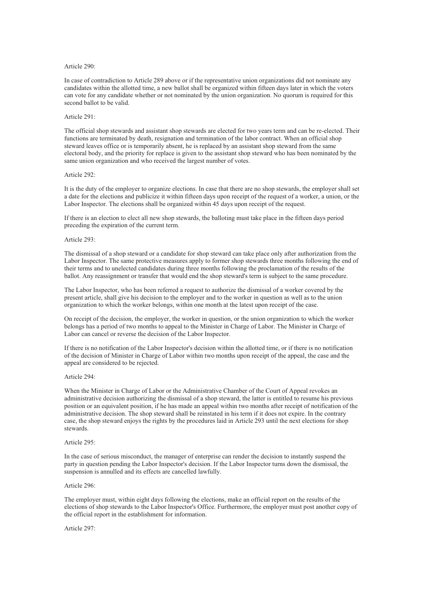# Article 290:

In case of contradiction to Article 289 above or if the representative union organizations did not nominate any candidates within the allotted time, a new ballot shall be organized within fifteen days later in which the voters can vote for any candidate whether or not nominated by the union organization. No quorum is required for this second ballot to be valid.

# Article 291:

The official shop stewards and assistant shop stewards are elected for two years term and can be re-elected. Their functions are terminated by death, resignation and termination of the labor contract. When an official shop steward leaves office or is temporarily absent, he is replaced by an assistant shop steward from the same electoral body, and the priority for replace is given to the assistant shop steward who has been nominated by the same union organization and who received the largest number of votes.

# Article 292:

It is the duty of the employer to organize elections. In case that there are no shop stewards, the employer shall set a date for the elections and publicize it within fifteen days upon receipt of the request of a worker, a union, or the Labor Inspector. The elections shall be organized within 45 days upon receipt of the request.

If there is an election to elect all new shop stewards, the balloting must take place in the fifteen days period preceding the expiration of the current term.

#### Article 293:

The dismissal of a shop steward or a candidate for shop steward can take place only after authorization from the Labor Inspector. The same protective measures apply to former shop stewards three months following the end of their terms and to unelected candidates during three months following the proclamation of the results of the ballot. Any reassignment or transfer that would end the shop steward's term is subject to the same procedure.

The Labor Inspector, who has been referred a request to authorize the dismissal of a worker covered by the present article, shall give his decision to the employer and to the worker in question as well as to the union organization to which the worker belongs, within one month at the latest upon receipt of the case.

On receipt of the decision, the employer, the worker in question, or the union organization to which the worker belongs has a period of two months to appeal to the Minister in Charge of Labor. The Minister in Charge of Labor can cancel or reverse the decision of the Labor Inspector.

If there is no notification of the Labor Inspector's decision within the allotted time, or if there is no notification of the decision of Minister in Charge of Labor within two months upon receipt of the appeal, the case and the appeal are considered to be rejected.

### Article 294:

When the Minister in Charge of Labor or the Administrative Chamber of the Court of Appeal revokes an administrative decision authorizing the dismissal of a shop steward, the latter is entitled to resume his previous position or an equivalent position, if he has made an appeal within two months after receipt of notification of the administrative decision. The shop steward shall be reinstated in his term if it does not expire. In the contrary case, the shop steward enjoys the rights by the procedures laid in Article 293 until the next elections for shop stewards.

#### Article 295:

In the case of serious misconduct, the manager of enterprise can render the decision to instantly suspend the party in question pending the Labor Inspector's decision. If the Labor Inspector turns down the dismissal, the suspension is annulled and its effects are cancelled lawfully.

#### Article 296:

The employer must, within eight days following the elections, make an official report on the results of the elections of shop stewards to the Labor Inspector's Office. Furthermore, the employer must post another copy of the official report in the establishment for information.

Article 297: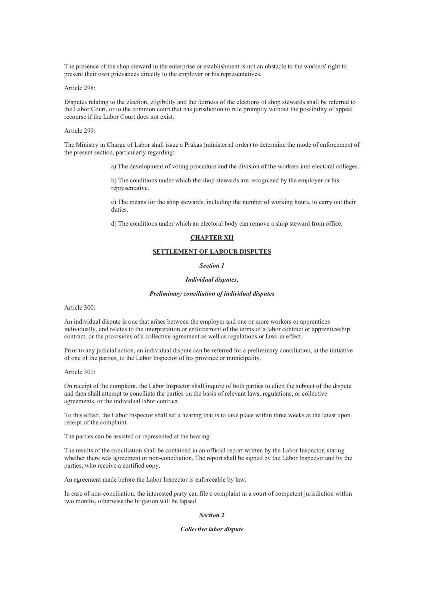The presence of the shop steward in the enterprise or establishment is not an obstacle to the workers' right to present their own grievances directly to the employer or his representatives.

Article 298:

Disputes relating to the election, eligibility and the fairness of the elections of shop stewards shall be referred to the Labor Court, or to the common court that has jurisdiction to rule promptly without the possibility of appeal recourse if the Labor Court does not exist.

#### $Articl<sub>e</sub>$  299 $\cdot$

The Ministry in Charge of Labor shall issue a Prakas (ministerial order) to determine the mode of enforcement of the present section, particularly regarding:

a) The development of voting procedure and the division of the workers into electoral colleges.

b) The conditions under which the shop stewards are recognized by the employer or his representative.

c) The means for the shop stewards, including the number of working hours, to carry out their duties.

d) The conditions under which an electoral body can remove a shop steward from office.

# **CHAPTER XII**

### **SETTLEMENT OF LABOUR DISPUTES**

*Section 1*

### *Individual disputes,*

## *Preliminary conciliation of individual disputes*

Article 300:

An individual dispute is one that arises between the employer and one or more workers or apprentices individually, and relates to the interpretation or enforcement of the terms of a labor contract or apprenticeship contract, or the provisions of a collective agreement as well as regulations or laws in effect.

Prior to any judicial action, an individual dispute can be referred for a preliminary conciliation, at the initiative of one of the parties, to the Labor Inspector of his province or municipality.

Article 301:

On receipt of the complaint, the Labor Inspector shall inquire of both parties to elicit the subject of the dispute and then shall attempt to conciliate the parties on the basis of relevant laws, regulations, or collective agreements, or the individual labor contract.

To this effect, the Labor Inspector shall set a hearing that is to take place within three weeks at the latest upon receipt of the complaint.

The parties can be assisted or represented at the hearing.

The results of the conciliation shall be contained in an official report written by the Labor Inspector, stating whether there was agreement or non-conciliation. The report shall be signed by the Labor Inspector and by the parties, who receive a certified copy.

An agreement made before the Labor Inspector is enforceable by law.

In case of non-conciliation, the interested party can file a complaint in a court of competent jurisdiction within two months, otherwise the litigation will be lapsed.

# *Section 2*

#### *Collective labor dispute*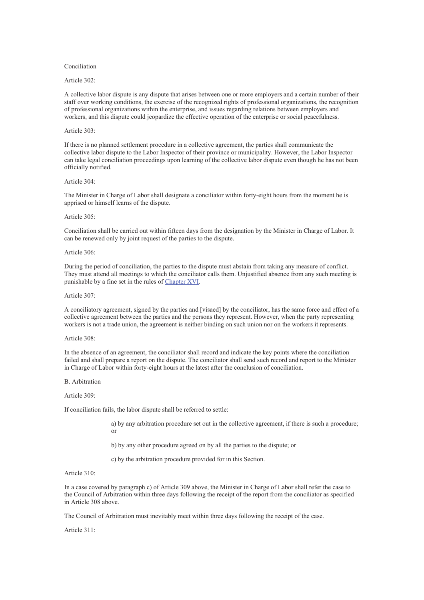# Conciliation

### Article 302:

A collective labor dispute is any dispute that arises between one or more employers and a certain number of their staff over working conditions, the exercise of the recognized rights of professional organizations, the recognition of professional organizations within the enterprise, and issues regarding relations between employers and workers, and this dispute could jeopardize the effective operation of the enterprise or social peacefulness.

# Article 303:

If there is no planned settlement procedure in a collective agreement, the parties shall communicate the collective labor dispute to the Labor Inspector of their province or municipality. However, the Labor Inspector can take legal conciliation proceedings upon learning of the collective labor dispute even though he has not been officially notified.

#### Article 304:

The Minister in Charge of Labor shall designate a conciliator within forty-eight hours from the moment he is apprised or himself learns of the dispute.

#### Article 305:

Conciliation shall be carried out within fifteen days from the designation by the Minister in Charge of Labor. It can be renewed only by joint request of the parties to the dispute.

## Article 306:

During the period of conciliation, the parties to the dispute must abstain from taking any measure of conflict. They must attend all meetings to which the conciliator calls them. Unjustified absence from any such meeting is punishable by a fine set in the rules of Chapter XVI.

# Article 307:

A conciliatory agreement, signed by the parties and [visaed] by the conciliator, has the same force and effect of a collective agreement between the parties and the persons they represent. However, when the party representing workers is not a trade union, the agreement is neither binding on such union nor on the workers it represents.

### Article 308:

In the absence of an agreement, the conciliator shall record and indicate the key points where the conciliation failed and shall prepare a report on the dispute. The conciliator shall send such record and report to the Minister in Charge of Labor within forty-eight hours at the latest after the conclusion of conciliation.

B. Arbitration

# Article 309:

If conciliation fails, the labor dispute shall be referred to settle:

a) by any arbitration procedure set out in the collective agreement, if there is such a procedure; or

b) by any other procedure agreed on by all the parties to the dispute; or

c) by the arbitration procedure provided for in this Section.

## Article 310:

In a case covered by paragraph c) of Article 309 above, the Minister in Charge of Labor shall refer the case to the Council of Arbitration within three days following the receipt of the report from the conciliator as specified in Article 308 above.

The Council of Arbitration must inevitably meet within three days following the receipt of the case.

Article 311: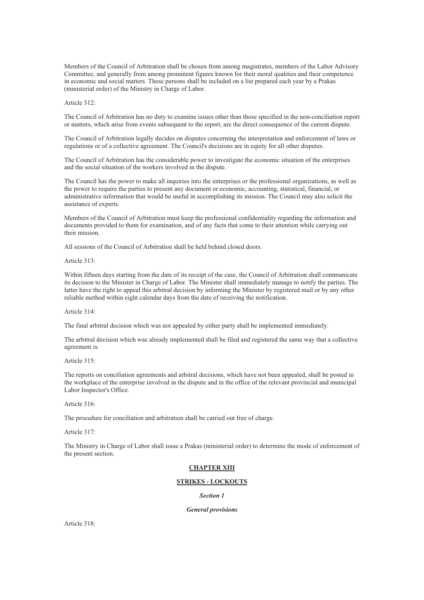Members of the Council of Arbitration shall be chosen from among magistrates, members of the Labor Advisory Committee, and generally from among prominent figures known for their moral qualities and their competence in economic and social matters. These persons shall be included on a list prepared each year by a Prakas (ministerial order) of the Ministry in Charge of Labor.

Article 312:

The Council of Arbitration has no duty to examine issues other than those specified in the non-conciliation report or matters, which arise from events subsequent to the report, are the direct consequence of the current dispute.

The Council of Arbitration legally decides on disputes concerning the interpretation and enforcement of laws or regulations or of a collective agreement. The Council's decisions are in equity for all other disputes.

The Council of Arbitration has the considerable power to investigate the economic situation of the enterprises and the social situation of the workers involved in the dispute.

The Council has the power to make all inquiries into the enterprises or the professional organizations, as well as the power to require the parties to present any document or economic, accounting, statistical, financial, or administrative information that would be useful in accomplishing its mission. The Council may also solicit the assistance of experts.

Members of the Council of Arbitration must keep the professional confidentiality regarding the information and documents provided to them for examination, and of any facts that come to their attention while carrying out their mission.

All sessions of the Council of Arbitration shall be held behind closed doors.

Article 313:

Within fifteen days starting from the date of its receipt of the case, the Council of Arbitration shall communicate its decision to the Minister in Charge of Labor. The Minister shall immediately manage to notify the parties. The latter have the right to appeal this arbitral decision by informing the Minister by registered mail or by any other reliable method within eight calendar days from the date of receiving the notification.

Article 314:

The final arbitral decision which was not appealed by either party shall be implemented immediately.

The arbitral decision which was already implemented shall be filed and registered the same way that a collective agreement is.

Article 315:

The reports on conciliation agreements and arbitral decisions, which have not been appealed, shall be posted in the workplace of the enterprise involved in the dispute and in the office of the relevant provincial and municipal Labor Inspector's Office.

Article 316:

The procedure for conciliation and arbitration shall be carried out free of charge.

Article 317:

The Ministry in Charge of Labor shall issue a Prakas (ministerial order) to determine the mode of enforcement of the present section.

# **CHAPTER XIII**

# **STRIKES - LOCKOUTS**

*Section 1* 

*General provisions* 

Article 318: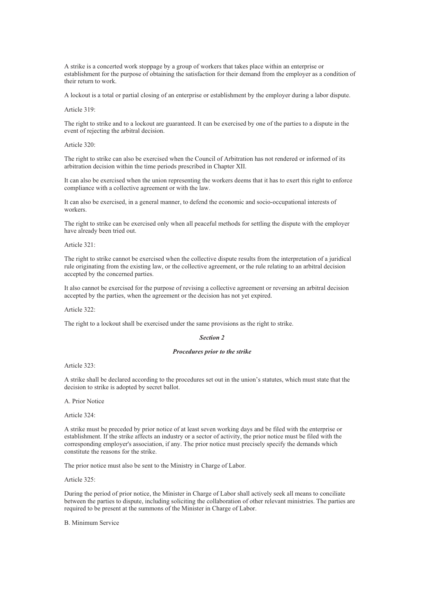A strike is a concerted work stoppage by a group of workers that takes place within an enterprise or establishment for the purpose of obtaining the satisfaction for their demand from the employer as a condition of their return to work.

A lockout is a total or partial closing of an enterprise or establishment by the employer during a labor dispute.

#### Article 319:

The right to strike and to a lockout are guaranteed. It can be exercised by one of the parties to a dispute in the event of rejecting the arbitral decision.

#### Article 320:

The right to strike can also be exercised when the Council of Arbitration has not rendered or informed of its arbitration decision within the time periods prescribed in Chapter XII.

It can also be exercised when the union representing the workers deems that it has to exert this right to enforce compliance with a collective agreement or with the law.

It can also be exercised, in a general manner, to defend the economic and socio-occupational interests of workers.

The right to strike can be exercised only when all peaceful methods for settling the dispute with the employer have already been tried out.

### Article 321:

The right to strike cannot be exercised when the collective dispute results from the interpretation of a juridical rule originating from the existing law, or the collective agreement, or the rule relating to an arbitral decision accepted by the concerned parties.

It also cannot be exercised for the purpose of revising a collective agreement or reversing an arbitral decision accepted by the parties, when the agreement or the decision has not yet expired.

## Article 322:

The right to a lockout shall be exercised under the same provisions as the right to strike.

#### *Section 2*

### *Procedures prior to the strike*

Article 323:

A strike shall be declared according to the procedures set out in the union's statutes, which must state that the decision to strike is adopted by secret ballot.

A. Prior Notice

Article 324:

A strike must be preceded by prior notice of at least seven working days and be filed with the enterprise or establishment. If the strike affects an industry or a sector of activity, the prior notice must be filed with the corresponding employer's association, if any. The prior notice must precisely specify the demands which constitute the reasons for the strike.

The prior notice must also be sent to the Ministry in Charge of Labor.

Article 325:

During the period of prior notice, the Minister in Charge of Labor shall actively seek all means to conciliate between the parties to dispute, including soliciting the collaboration of other relevant ministries. The parties are required to be present at the summons of the Minister in Charge of Labor.

B. Minimum Service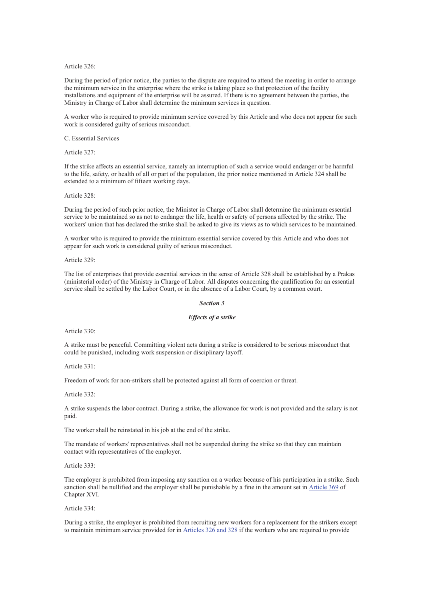Article 326:

During the period of prior notice, the parties to the dispute are required to attend the meeting in order to arrange the minimum service in the enterprise where the strike is taking place so that protection of the facility installations and equipment of the enterprise will be assured. If there is no agreement between the parties, the Ministry in Charge of Labor shall determine the minimum services in question.

A worker who is required to provide minimum service covered by this Article and who does not appear for such work is considered guilty of serious misconduct.

C. Essential Services

Article 327:

If the strike affects an essential service, namely an interruption of such a service would endanger or be harmful to the life, safety, or health of all or part of the population, the prior notice mentioned in Article 324 shall be extended to a minimum of fifteen working days.

#### Article 328:

During the period of such prior notice, the Minister in Charge of Labor shall determine the minimum essential service to be maintained so as not to endanger the life, health or safety of persons affected by the strike. The workers' union that has declared the strike shall be asked to give its views as to which services to be maintained.

A worker who is required to provide the minimum essential service covered by this Article and who does not appear for such work is considered guilty of serious misconduct.

Article 329:

The list of enterprises that provide essential services in the sense of Article 328 shall be established by a Prakas (ministerial order) of the Ministry in Charge of Labor. All disputes concerning the qualification for an essential service shall be settled by the Labor Court, or in the absence of a Labor Court, by a common court.

## *Section 3*

#### *Effects of a strike*

Article 330:

A strike must be peaceful. Committing violent acts during a strike is considered to be serious misconduct that could be punished, including work suspension or disciplinary layoff.

Article 331:

Freedom of work for non-strikers shall be protected against all form of coercion or threat.

Article 332:

A strike suspends the labor contract. During a strike, the allowance for work is not provided and the salary is not paid.

The worker shall be reinstated in his job at the end of the strike.

The mandate of workers' representatives shall not be suspended during the strike so that they can maintain contact with representatives of the employer.

Article 333:

The employer is prohibited from imposing any sanction on a worker because of his participation in a strike. Such sanction shall be nullified and the employer shall be punishable by a fine in the amount set in Article 369 of Chapter XVI.

#### Article 334:

During a strike, the employer is prohibited from recruiting new workers for a replacement for the strikers except to maintain minimum service provided for in Articles 326 and 328 if the workers who are required to provide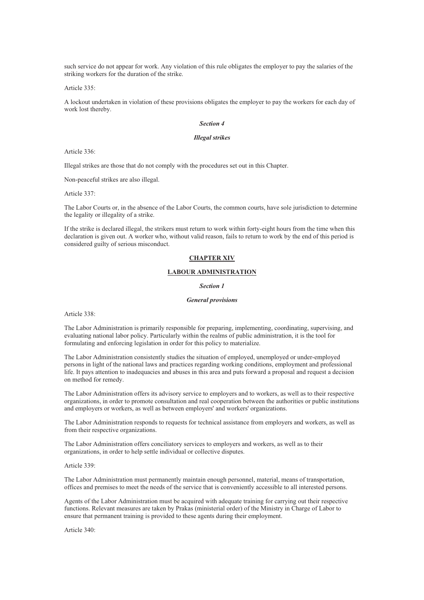such service do not appear for work. Any violation of this rule obligates the employer to pay the salaries of the striking workers for the duration of the strike.

Article 335:

A lockout undertaken in violation of these provisions obligates the employer to pay the workers for each day of work lost thereby.

### *Section 4*

## *Illegal strikes*

Article 336:

Illegal strikes are those that do not comply with the procedures set out in this Chapter.

Non-peaceful strikes are also illegal.

Article 337:

The Labor Courts or, in the absence of the Labor Courts, the common courts, have sole jurisdiction to determine the legality or illegality of a strike.

If the strike is declared illegal, the strikers must return to work within forty-eight hours from the time when this declaration is given out. A worker who, without valid reason, fails to return to work by the end of this period is considered guilty of serious misconduct.

# **CHAPTER XIV**

# **LABOUR ADMINISTRATION**

# *Section 1*

## *General provisions*

Article 338:

The Labor Administration is primarily responsible for preparing, implementing, coordinating, supervising, and evaluating national labor policy. Particularly within the realms of public administration, it is the tool for formulating and enforcing legislation in order for this policy to materialize.

The Labor Administration consistently studies the situation of employed, unemployed or under-employed persons in light of the national laws and practices regarding working conditions, employment and professional life. It pays attention to inadequacies and abuses in this area and puts forward a proposal and request a decision on method for remedy.

The Labor Administration offers its advisory service to employers and to workers, as well as to their respective organizations, in order to promote consultation and real cooperation between the authorities or public institutions and employers or workers, as well as between employers' and workers' organizations.

The Labor Administration responds to requests for technical assistance from employers and workers, as well as from their respective organizations.

The Labor Administration offers conciliatory services to employers and workers, as well as to their organizations, in order to help settle individual or collective disputes.

Article 339:

The Labor Administration must permanently maintain enough personnel, material, means of transportation, offices and premises to meet the needs of the service that is conveniently accessible to all interested persons.

Agents of the Labor Administration must be acquired with adequate training for carrying out their respective functions. Relevant measures are taken by Prakas (ministerial order) of the Ministry in Charge of Labor to ensure that permanent training is provided to these agents during their employment.

Article 340: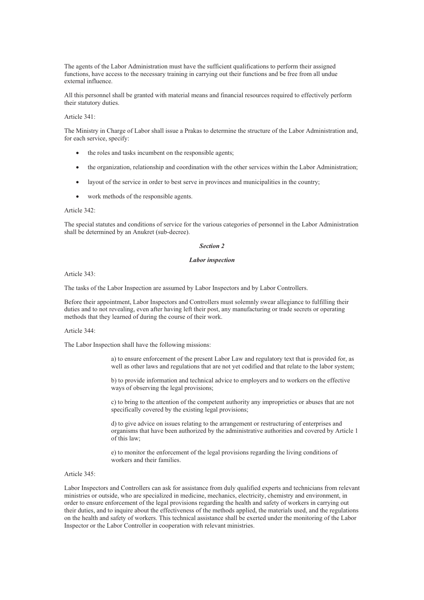The agents of the Labor Administration must have the sufficient qualifications to perform their assigned functions, have access to the necessary training in carrying out their functions and be free from all undue external influence.

All this personnel shall be granted with material means and financial resources required to effectively perform their statutory duties.

## Article 341:

The Ministry in Charge of Labor shall issue a Prakas to determine the structure of the Labor Administration and, for each service, specify:

- ! the roles and tasks incumbent on the responsible agents;
- ! the organization, relationship and coordination with the other services within the Labor Administration;
- ! layout of the service in order to best serve in provinces and municipalities in the country;
- ! work methods of the responsible agents.

## Article 342:

The special statutes and conditions of service for the various categories of personnel in the Labor Administration shall be determined by an Anukret (sub-decree).

### *Section 2*

# *Labor inspection*

### Article 343:

The tasks of the Labor Inspection are assumed by Labor Inspectors and by Labor Controllers.

Before their appointment, Labor Inspectors and Controllers must solemnly swear allegiance to fulfilling their duties and to not revealing, even after having left their post, any manufacturing or trade secrets or operating methods that they learned of during the course of their work.

### Article 344:

The Labor Inspection shall have the following missions:

a) to ensure enforcement of the present Labor Law and regulatory text that is provided for, as well as other laws and regulations that are not yet codified and that relate to the labor system;

b) to provide information and technical advice to employers and to workers on the effective ways of observing the legal provisions;

c) to bring to the attention of the competent authority any improprieties or abuses that are not specifically covered by the existing legal provisions;

d) to give advice on issues relating to the arrangement or restructuring of enterprises and organisms that have been authorized by the administrative authorities and covered by Article 1 of this law;

e) to monitor the enforcement of the legal provisions regarding the living conditions of workers and their families.

# Article 345:

Labor Inspectors and Controllers can ask for assistance from duly qualified experts and technicians from relevant ministries or outside, who are specialized in medicine, mechanics, electricity, chemistry and environment, in order to ensure enforcement of the legal provisions regarding the health and safety of workers in carrying out their duties, and to inquire about the effectiveness of the methods applied, the materials used, and the regulations on the health and safety of workers. This technical assistance shall be exerted under the monitoring of the Labor Inspector or the Labor Controller in cooperation with relevant ministries.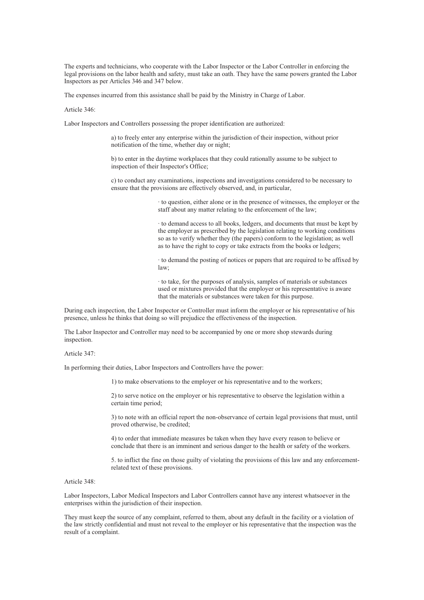The experts and technicians, who cooperate with the Labor Inspector or the Labor Controller in enforcing the legal provisions on the labor health and safety, must take an oath. They have the same powers granted the Labor Inspectors as per Articles 346 and 347 below.

The expenses incurred from this assistance shall be paid by the Ministry in Charge of Labor.

Article 346:

Labor Inspectors and Controllers possessing the proper identification are authorized:

a) to freely enter any enterprise within the jurisdiction of their inspection, without prior notification of the time, whether day or night;

b) to enter in the daytime workplaces that they could rationally assume to be subject to inspection of their Inspector's Office;

c) to conduct any examinations, inspections and investigations considered to be necessary to ensure that the provisions are effectively observed, and, in particular,

> · to question, either alone or in the presence of witnesses, the employer or the staff about any matter relating to the enforcement of the law;

> · to demand access to all books, ledgers, and documents that must be kept by the employer as prescribed by the legislation relating to working conditions so as to verify whether they (the papers) conform to the legislation; as well as to have the right to copy or take extracts from the books or ledgers;

> · to demand the posting of notices or papers that are required to be affixed by law;

· to take, for the purposes of analysis, samples of materials or substances used or mixtures provided that the employer or his representative is aware that the materials or substances were taken for this purpose.

During each inspection, the Labor Inspector or Controller must inform the employer or his representative of his presence, unless he thinks that doing so will prejudice the effectiveness of the inspection.

The Labor Inspector and Controller may need to be accompanied by one or more shop stewards during inspection.

Article 347:

In performing their duties, Labor Inspectors and Controllers have the power:

1) to make observations to the employer or his representative and to the workers;

2) to serve notice on the employer or his representative to observe the legislation within a certain time period;

3) to note with an official report the non-observance of certain legal provisions that must, until proved otherwise, be credited;

4) to order that immediate measures be taken when they have every reason to believe or conclude that there is an imminent and serious danger to the health or safety of the workers.

5. to inflict the fine on those guilty of violating the provisions of this law and any enforcementrelated text of these provisions.

Article 348:

Labor Inspectors, Labor Medical Inspectors and Labor Controllers cannot have any interest whatsoever in the enterprises within the jurisdiction of their inspection.

They must keep the source of any complaint, referred to them, about any default in the facility or a violation of the law strictly confidential and must not reveal to the employer or his representative that the inspection was the result of a complaint.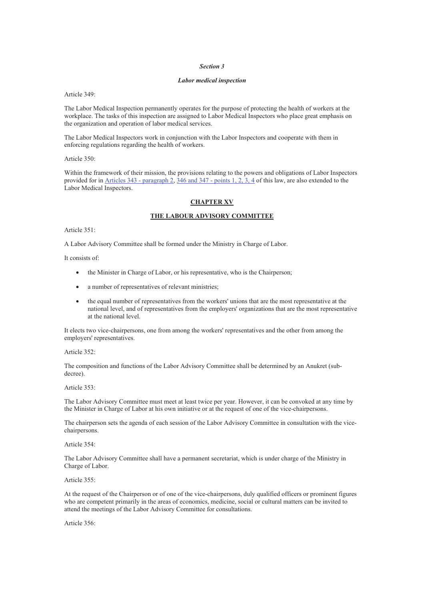# *Section 3*

#### *Labor medical inspection*

Article 349:

The Labor Medical Inspection permanently operates for the purpose of protecting the health of workers at the workplace. The tasks of this inspection are assigned to Labor Medical Inspectors who place great emphasis on the organization and operation of labor medical services.

The Labor Medical Inspectors work in conjunction with the Labor Inspectors and cooperate with them in enforcing regulations regarding the health of workers.

Article 350:

Within the framework of their mission, the provisions relating to the powers and obligations of Labor Inspectors provided for in Articles 343 - paragraph 2, 346 and 347 - points 1, 2, 3, 4 of this law, are also extended to the Labor Medical Inspectors.

# **CHAPTER XV**

# **THE LABOUR ADVISORY COMMITTEE**

Article 351:

A Labor Advisory Committee shall be formed under the Ministry in Charge of Labor.

It consists of:

- the Minister in Charge of Labor, or his representative, who is the Chairperson;
- a number of representatives of relevant ministries;
- ! the equal number of representatives from the workers' unions that are the most representative at the national level, and of representatives from the employers' organizations that are the most representative at the national level.

It elects two vice-chairpersons, one from among the workers' representatives and the other from among the employers' representatives.

Article 352:

The composition and functions of the Labor Advisory Committee shall be determined by an Anukret (subdecree).

## Article 353:

The Labor Advisory Committee must meet at least twice per year. However, it can be convoked at any time by the Minister in Charge of Labor at his own initiative or at the request of one of the vice-chairpersons.

The chairperson sets the agenda of each session of the Labor Advisory Committee in consultation with the vicechairpersons.

Article 354:

The Labor Advisory Committee shall have a permanent secretariat, which is under charge of the Ministry in Charge of Labor.

Article 355:

At the request of the Chairperson or of one of the vice-chairpersons, duly qualified officers or prominent figures who are competent primarily in the areas of economics, medicine, social or cultural matters can be invited to attend the meetings of the Labor Advisory Committee for consultations.

Article 356: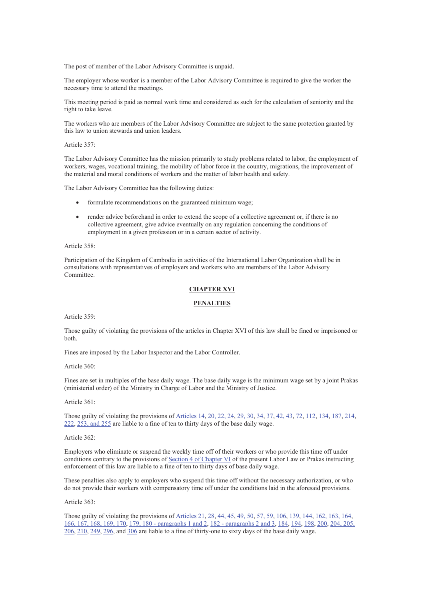The post of member of the Labor Advisory Committee is unpaid.

The employer whose worker is a member of the Labor Advisory Committee is required to give the worker the necessary time to attend the meetings.

This meeting period is paid as normal work time and considered as such for the calculation of seniority and the right to take leave.

The workers who are members of the Labor Advisory Committee are subject to the same protection granted by this law to union stewards and union leaders.

Article 357:

The Labor Advisory Committee has the mission primarily to study problems related to labor, the employment of workers, wages, vocational training, the mobility of labor force in the country, migrations, the improvement of the material and moral conditions of workers and the matter of labor health and safety.

The Labor Advisory Committee has the following duties:

- ! formulate recommendations on the guaranteed minimum wage;
- render advice beforehand in order to extend the scope of a collective agreement or, if there is no collective agreement, give advice eventually on any regulation concerning the conditions of employment in a given profession or in a certain sector of activity.

Article 358:

Participation of the Kingdom of Cambodia in activities of the International Labor Organization shall be in consultations with representatives of employers and workers who are members of the Labor Advisory Committee.

# **CHAPTER XVI**

## **PENALTIES**

Article 359:

Those guilty of violating the provisions of the articles in Chapter XVI of this law shall be fined or imprisoned or both.

Fines are imposed by the Labor Inspector and the Labor Controller.

Article 360:

Fines are set in multiples of the base daily wage. The base daily wage is the minimum wage set by a joint Prakas (ministerial order) of the Ministry in Charge of Labor and the Ministry of Justice.

Article 361:

Those guilty of violating the provisions of Articles 14, 20, 22, 24, 29, 30, 34, 37, 42, 43, 72, 112, 134, 187, 214, 222, 253, and 255 are liable to a fine of ten to thirty days of the base daily wage.

Article 362:

Employers who eliminate or suspend the weekly time off of their workers or who provide this time off under conditions contrary to the provisions of Section 4 of Chapter VI of the present Labor Law or Prakas instructing enforcement of this law are liable to a fine of ten to thirty days of base daily wage.

These penalties also apply to employers who suspend this time off without the necessary authorization, or who do not provide their workers with compensatory time off under the conditions laid in the aforesaid provisions.

Article 363:

Those guilty of violating the provisions of Articles 21, 28, 44, 45, 49, 50, 57, 59, 106, 139, 144, 162, 163, 164, 166, 167, 168, 169, 170, 179, 180 - paragraphs 1 and 2, 182 - paragraphs 2 and 3, 184, 194, 198, 200, 204, 205, 206, 210, 249, 296, and 306 are liable to a fine of thirty-one to sixty days of the base daily wage.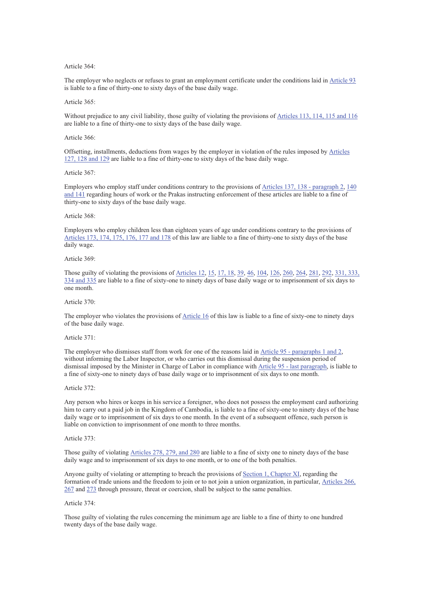### Article 364:

The employer who neglects or refuses to grant an employment certificate under the conditions laid in Article 93 is liable to a fine of thirty-one to sixty days of the base daily wage.

#### Article 365:

Without prejudice to any civil liability, those guilty of violating the provisions of Articles 113, 114, 115 and 116 are liable to a fine of thirty-one to sixty days of the base daily wage.

### Article 366:

Offsetting, installments, deductions from wages by the employer in violation of the rules imposed by Articles 127, 128 and 129 are liable to a fine of thirty-one to sixty days of the base daily wage.

#### Article 367:

Employers who employ staff under conditions contrary to the provisions of Articles 137, 138 - paragraph 2, 140 and 141 regarding hours of work or the Prakas instructing enforcement of these articles are liable to a fine of thirty-one to sixty days of the base daily wage.

## Article 368:

Employers who employ children less than eighteen years of age under conditions contrary to the provisions of Articles 173, 174, 175, 176, 177 and 178 of this law are liable to a fine of thirty-one to sixty days of the base daily wage.

#### Article 369:

Those guilty of violating the provisions of Articles 12, 15, 17, 18, 39, 46, 104, 126, 260, 264, 281, 292, 331, 333, 334 and 335 are liable to a fine of sixty-one to ninety days of base daily wage or to imprisonment of six days to one month.

### Article 370:

The employer who violates the provisions of Article 16 of this law is liable to a fine of sixty-one to ninety days of the base daily wage.

#### Article 371:

The employer who dismisses staff from work for one of the reasons laid in Article 95 - paragraphs 1 and 2, without informing the Labor Inspector, or who carries out this dismissal during the suspension period of dismissal imposed by the Minister in Charge of Labor in compliance with Article 95 - last paragraph, is liable to a fine of sixty-one to ninety days of base daily wage or to imprisonment of six days to one month.

#### Article 372:

Any person who hires or keeps in his service a foreigner, who does not possess the employment card authorizing him to carry out a paid job in the Kingdom of Cambodia, is liable to a fine of sixty-one to ninety days of the base daily wage or to imprisonment of six days to one month. In the event of a subsequent offence, such person is liable on conviction to imprisonment of one month to three months.

#### Article 373:

Those guilty of violating Articles 278, 279, and 280 are liable to a fine of sixty one to ninety days of the base daily wage and to imprisonment of six days to one month, or to one of the both penalties.

Anyone guilty of violating or attempting to breach the provisions of Section 1, Chapter XI, regarding the formation of trade unions and the freedom to join or to not join a union organization, in particular, Articles 266, 267 and 273 through pressure, threat or coercion, shall be subject to the same penalties.

## Article 374:

Those guilty of violating the rules concerning the minimum age are liable to a fine of thirty to one hundred twenty days of the base daily wage.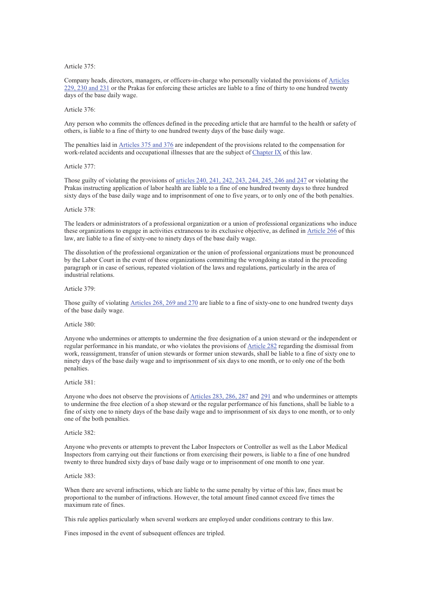## Article 375:

Company heads, directors, managers, or officers-in-charge who personally violated the provisions of Articles 229, 230 and 231 or the Prakas for enforcing these articles are liable to a fine of thirty to one hundred twenty days of the base daily wage.

#### Article 376:

Any person who commits the offences defined in the preceding article that are harmful to the health or safety of others, is liable to a fine of thirty to one hundred twenty days of the base daily wage.

The penalties laid in Articles 375 and 376 are independent of the provisions related to the compensation for work-related accidents and occupational illnesses that are the subject of Chapter IX of this law.

#### Article 377:

Those guilty of violating the provisions of articles 240, 241, 242, 243, 244, 245, 246 and 247 or violating the Prakas instructing application of labor health are liable to a fine of one hundred twenty days to three hundred sixty days of the base daily wage and to imprisonment of one to five years, or to only one of the both penalties.

#### Article 378:

The leaders or administrators of a professional organization or a union of professional organizations who induce these organizations to engage in activities extraneous to its exclusive objective, as defined in Article 266 of this law, are liable to a fine of sixty-one to ninety days of the base daily wage.

The dissolution of the professional organization or the union of professional organizations must be pronounced by the Labor Court in the event of those organizations committing the wrongdoing as stated in the preceding paragraph or in case of serious, repeated violation of the laws and regulations, particularly in the area of industrial relations.

#### Article 379:

Those guilty of violating Articles 268, 269 and 270 are liable to a fine of sixty-one to one hundred twenty days of the base daily wage.

# Article 380:

Anyone who undermines or attempts to undermine the free designation of a union steward or the independent or regular performance in his mandate, or who violates the provisions of Article 282 regarding the dismissal from work, reassignment, transfer of union stewards or former union stewards, shall be liable to a fine of sixty one to ninety days of the base daily wage and to imprisonment of six days to one month, or to only one of the both penalties.

#### Article 381:

Anyone who does not observe the provisions of Articles 283, 286, 287 and 291 and who undermines or attempts to undermine the free election of a shop steward or the regular performance of his functions, shall be liable to a fine of sixty one to ninety days of the base daily wage and to imprisonment of six days to one month, or to only one of the both penalties.

#### Article 382:

Anyone who prevents or attempts to prevent the Labor Inspectors or Controller as well as the Labor Medical Inspectors from carrying out their functions or from exercising their powers, is liable to a fine of one hundred twenty to three hundred sixty days of base daily wage or to imprisonment of one month to one year.

#### Article 383:

When there are several infractions, which are liable to the same penalty by virtue of this law, fines must be proportional to the number of infractions. However, the total amount fined cannot exceed five times the maximum rate of fines.

This rule applies particularly when several workers are employed under conditions contrary to this law.

Fines imposed in the event of subsequent offences are tripled.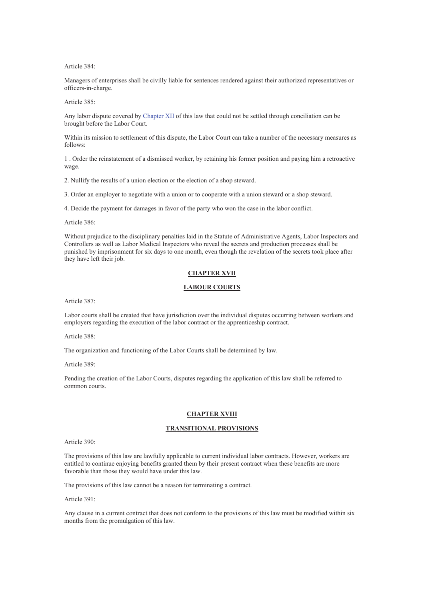Article 384:

Managers of enterprises shall be civilly liable for sentences rendered against their authorized representatives or officers-in-charge.

Article 385:

Any labor dispute covered by Chapter XII of this law that could not be settled through conciliation can be brought before the Labor Court.

Within its mission to settlement of this dispute, the Labor Court can take a number of the necessary measures as follows:

1 . Order the reinstatement of a dismissed worker, by retaining his former position and paying him a retroactive wage.

2. Nullify the results of a union election or the election of a shop steward.

3. Order an employer to negotiate with a union or to cooperate with a union steward or a shop steward.

4. Decide the payment for damages in favor of the party who won the case in the labor conflict.

Article 386:

Without prejudice to the disciplinary penalties laid in the Statute of Administrative Agents, Labor Inspectors and Controllers as well as Labor Medical Inspectors who reveal the secrets and production processes shall be punished by imprisonment for six days to one month, even though the revelation of the secrets took place after they have left their job.

# **CHAPTER XVII**

# **LABOUR COURTS**

Article 387:

Labor courts shall be created that have jurisdiction over the individual disputes occurring between workers and employers regarding the execution of the labor contract or the apprenticeship contract.

Article 388:

The organization and functioning of the Labor Courts shall be determined by law.

Article 389:

Pending the creation of the Labor Courts, disputes regarding the application of this law shall be referred to common courts.

# **CHAPTER XVIII**

# **TRANSITIONAL PROVISIONS**

Article 390:

The provisions of this law are lawfully applicable to current individual labor contracts. However, workers are entitled to continue enjoying benefits granted them by their present contract when these benefits are more favorable than those they would have under this law.

The provisions of this law cannot be a reason for terminating a contract.

Article 391:

Any clause in a current contract that does not conform to the provisions of this law must be modified within six months from the promulgation of this law.